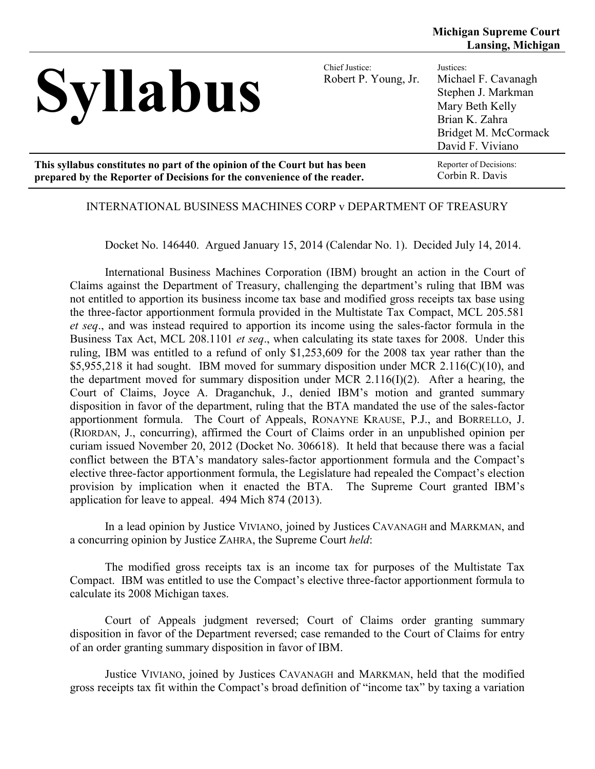| <b>Syllabus</b>                                                            | Chief Justice:<br>Robert P. Young, Jr. | Justices:<br>Michael F. Cavanagh<br>Stephen J. Markman<br>Mary Beth Kelly<br>Brian K. Zahra<br>Bridget M. McCormack<br>David F. Viviano |
|----------------------------------------------------------------------------|----------------------------------------|-----------------------------------------------------------------------------------------------------------------------------------------|
| This syllabus constitutes no part of the opinion of the Court but has been |                                        | Reporter of Decisions:                                                                                                                  |
| prepared by the Reporter of Decisions for the convenience of the reader.   |                                        | Corbin R. Davis                                                                                                                         |

#### INTERNATIONAL BUSINESS MACHINES CORP v DEPARTMENT OF TREASURY

Docket No. 146440. Argued January 15, 2014 (Calendar No. 1). Decided July 14, 2014.

International Business Machines Corporation (IBM) brought an action in the Court of Claims against the Department of Treasury, challenging the department's ruling that IBM was not entitled to apportion its business income tax base and modified gross receipts tax base using the three-factor apportionment formula provided in the Multistate Tax Compact, MCL 205.581 *et seq*., and was instead required to apportion its income using the sales-factor formula in the Business Tax Act, MCL 208.1101 *et seq*., when calculating its state taxes for 2008. Under this ruling, IBM was entitled to a refund of only \$1,253,609 for the 2008 tax year rather than the \$5,955,218 it had sought. IBM moved for summary disposition under MCR 2.116(C)(10), and the department moved for summary disposition under MCR 2.116(I)(2). After a hearing, the Court of Claims, Joyce A. Draganchuk, J., denied IBM's motion and granted summary disposition in favor of the department, ruling that the BTA mandated the use of the sales-factor apportionment formula. The Court of Appeals, RONAYNE KRAUSE, P.J., and BORRELLO, J. (RIORDAN, J., concurring), affirmed the Court of Claims order in an unpublished opinion per curiam issued November 20, 2012 (Docket No. 306618). It held that because there was a facial conflict between the BTA's mandatory sales-factor apportionment formula and the Compact's elective three-factor apportionment formula, the Legislature had repealed the Compact's election provision by implication when it enacted the BTA. The Supreme Court granted IBM's application for leave to appeal. 494 Mich 874 (2013).

In a lead opinion by Justice VIVIANO, joined by Justices CAVANAGH and MARKMAN, and a concurring opinion by Justice ZAHRA, the Supreme Court *held*:

The modified gross receipts tax is an income tax for purposes of the Multistate Tax Compact. IBM was entitled to use the Compact's elective three-factor apportionment formula to calculate its 2008 Michigan taxes.

Court of Appeals judgment reversed; Court of Claims order granting summary disposition in favor of the Department reversed; case remanded to the Court of Claims for entry of an order granting summary disposition in favor of IBM.

Justice VIVIANO, joined by Justices CAVANAGH and MARKMAN, held that the modified gross receipts tax fit within the Compact's broad definition of "income tax" by taxing a variation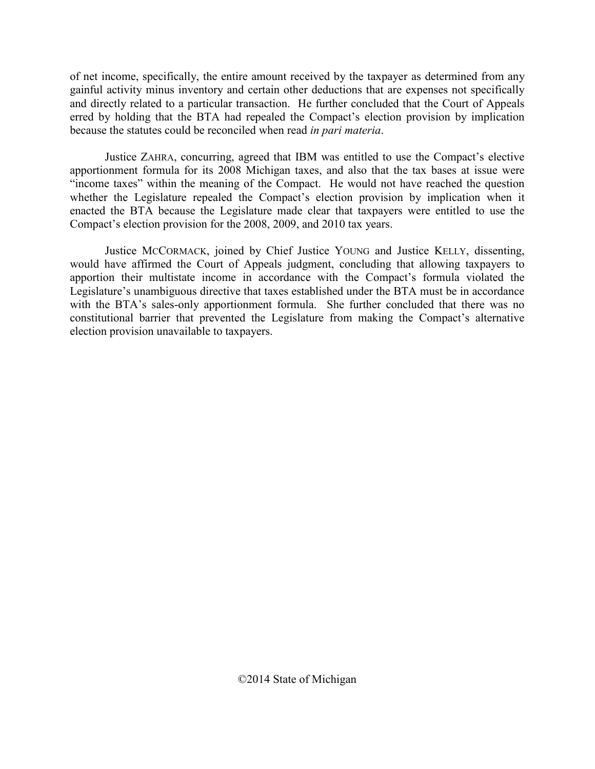of net income, specifically, the entire amount received by the taxpayer as determined from any gainful activity minus inventory and certain other deductions that are expenses not specifically and directly related to a particular transaction. He further concluded that the Court of Appeals erred by holding that the BTA had repealed the Compact's election provision by implication because the statutes could be reconciled when read *in pari materia*.

Justice ZAHRA, concurring, agreed that IBM was entitled to use the Compact's elective apportionment formula for its 2008 Michigan taxes, and also that the tax bases at issue were "income taxes" within the meaning of the Compact. He would not have reached the question whether the Legislature repealed the Compact's election provision by implication when it enacted the BTA because the Legislature made clear that taxpayers were entitled to use the Compact's election provision for the 2008, 2009, and 2010 tax years.

Justice MCCORMACK, joined by Chief Justice YOUNG and Justice KELLY, dissenting, would have affirmed the Court of Appeals judgment, concluding that allowing taxpayers to apportion their multistate income in accordance with the Compact's formula violated the Legislature's unambiguous directive that taxes established under the BTA must be in accordance with the BTA's sales-only apportionment formula. She further concluded that there was no constitutional barrier that prevented the Legislature from making the Compact's alternative election provision unavailable to taxpayers.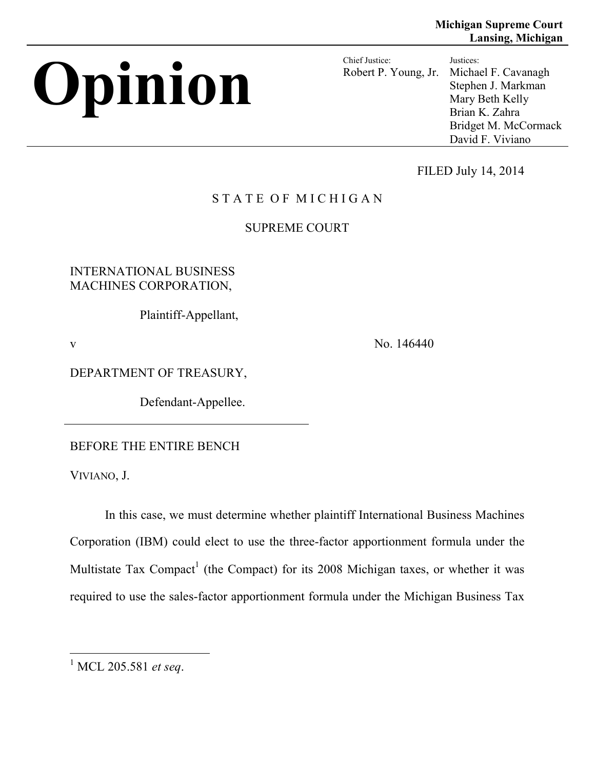# **Opinion** Chief Justice:

Robert P. Young, Jr. Justices: Michael F. Cavanagh Stephen J. Markman Mary Beth Kelly Brian K. Zahra Bridget M. McCormack David F. Viviano

FILED July 14, 2014

# STATE OF MICHIGAN

# SUPREME COURT

INTERNATIONAL BUSINESS MACHINES CORPORATION,

Plaintiff-Appellant,

v No. 146440

DEPARTMENT OF TREASURY,

Defendant-Appellee.

BEFORE THE ENTIRE BENCH

VIVIANO, J.

In this case, we must determine whether plaintiff International Business Machines Corporation (IBM) could elect to use the three-factor apportionment formula under the Multistate Tax Compact<sup>1</sup> (the Compact) for its 2008 Michigan taxes, or whether it was required to use the sales-factor apportionment formula under the Michigan Business Tax

 <sup>1</sup> MCL 205.581 *et seq*.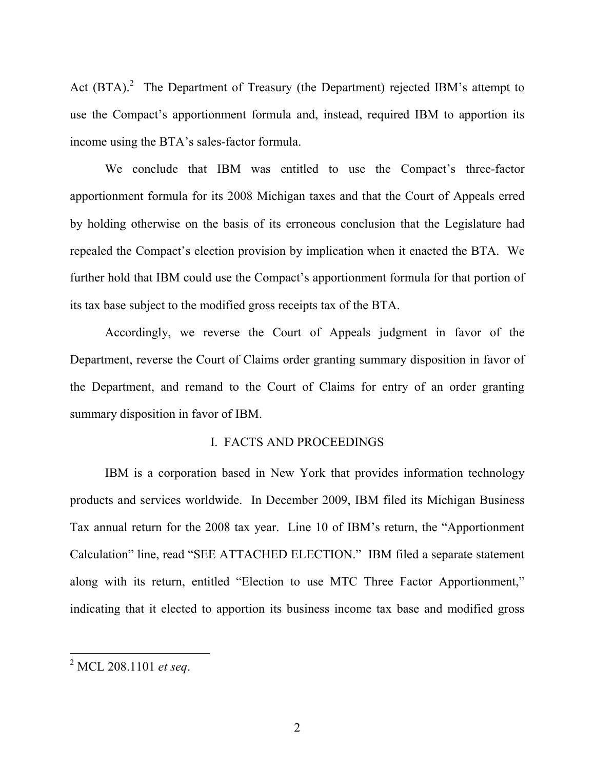Act  $(BTA)$ .<sup>2</sup> The Department of Treasury (the Department) rejected IBM's attempt to use the Compact's apportionment formula and, instead, required IBM to apportion its income using the BTA's sales-factor formula.

We conclude that IBM was entitled to use the Compact's three-factor apportionment formula for its 2008 Michigan taxes and that the Court of Appeals erred by holding otherwise on the basis of its erroneous conclusion that the Legislature had repealed the Compact's election provision by implication when it enacted the BTA. We further hold that IBM could use the Compact's apportionment formula for that portion of its tax base subject to the modified gross receipts tax of the BTA.

Accordingly, we reverse the Court of Appeals judgment in favor of the Department, reverse the Court of Claims order granting summary disposition in favor of the Department, and remand to the Court of Claims for entry of an order granting summary disposition in favor of IBM.

#### I. FACTS AND PROCEEDINGS

IBM is a corporation based in New York that provides information technology products and services worldwide. In December 2009, IBM filed its Michigan Business Tax annual return for the 2008 tax year. Line 10 of IBM's return, the "Apportionment Calculation" line, read "SEE ATTACHED ELECTION." IBM filed a separate statement along with its return, entitled "Election to use MTC Three Factor Apportionment," indicating that it elected to apportion its business income tax base and modified gross

 <sup>2</sup> MCL 208.1101 *et seq*.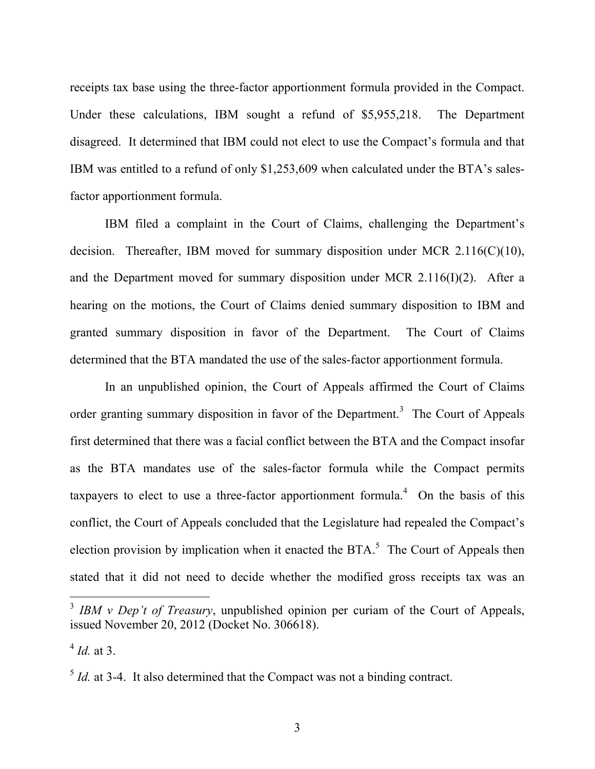receipts tax base using the three-factor apportionment formula provided in the Compact. Under these calculations, IBM sought a refund of \$5,955,218. The Department disagreed. It determined that IBM could not elect to use the Compact's formula and that IBM was entitled to a refund of only \$1,253,609 when calculated under the BTA's salesfactor apportionment formula.

IBM filed a complaint in the Court of Claims, challenging the Department's decision. Thereafter, IBM moved for summary disposition under MCR 2.116(C)(10), and the Department moved for summary disposition under MCR 2.116(I)(2). After a hearing on the motions, the Court of Claims denied summary disposition to IBM and granted summary disposition in favor of the Department. The Court of Claims determined that the BTA mandated the use of the sales-factor apportionment formula.

In an unpublished opinion, the Court of Appeals affirmed the Court of Claims order granting summary disposition in favor of the Department.<sup>3</sup> The Court of Appeals first determined that there was a facial conflict between the BTA and the Compact insofar as the BTA mandates use of the sales-factor formula while the Compact permits taxpayers to elect to use a three-factor apportionment formula.<sup>4</sup> On the basis of this conflict, the Court of Appeals concluded that the Legislature had repealed the Compact's election provision by implication when it enacted the  $BTA$ <sup>5</sup>. The Court of Appeals then stated that it did not need to decide whether the modified gross receipts tax was an

<sup>&</sup>lt;sup>3</sup> *IBM v Dep't of Treasury*, unpublished opinion per curiam of the Court of Appeals, issued November 20, 2012 (Docket No. 306618).

 $4$  *Id.* at 3.

 $5$  *Id.* at 3-4. It also determined that the Compact was not a binding contract.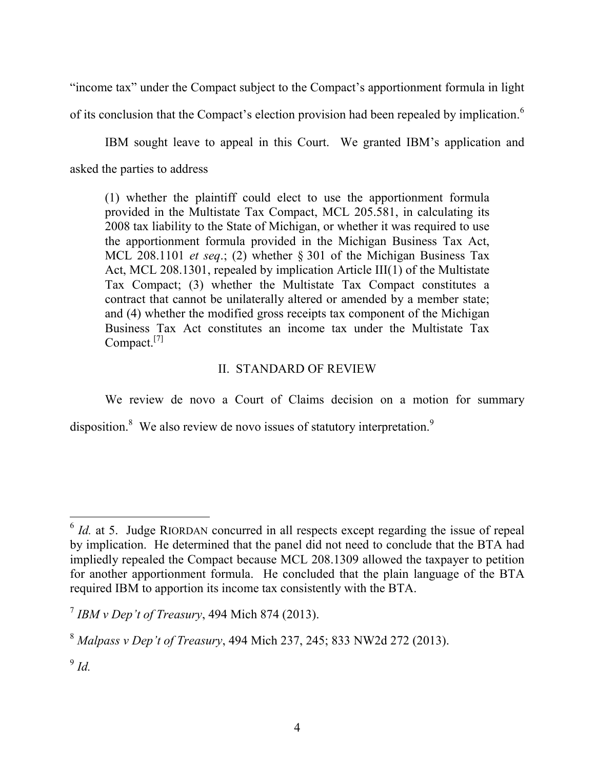"income tax" under the Compact subject to the Compact's apportionment formula in light of its conclusion that the Compact's election provision had been repealed by implication.<sup>6</sup>

IBM sought leave to appeal in this Court. We granted IBM's application and asked the parties to address

(1) whether the plaintiff could elect to use the apportionment formula provided in the Multistate Tax Compact, MCL 205.581, in calculating its 2008 tax liability to the State of Michigan, or whether it was required to use the apportionment formula provided in the Michigan Business Tax Act, MCL 208.1101 *et seq*.; (2) whether § 301 of the Michigan Business Tax Act, MCL 208.1301, repealed by implication Article III(1) of the Multistate Tax Compact; (3) whether the Multistate Tax Compact constitutes a contract that cannot be unilaterally altered or amended by a member state; and (4) whether the modified gross receipts tax component of the Michigan Business Tax Act constitutes an income tax under the Multistate Tax Compact.<sup>[7]</sup>

# II. STANDARD OF REVIEW

We review de novo a Court of Claims decision on a motion for summary disposition.<sup>8</sup> We also review de novo issues of statutory interpretation.<sup>9</sup>

 $6$  *Id.* at 5. Judge RIORDAN concurred in all respects except regarding the issue of repeal by implication. He determined that the panel did not need to conclude that the BTA had impliedly repealed the Compact because MCL 208.1309 allowed the taxpayer to petition for another apportionment formula. He concluded that the plain language of the BTA required IBM to apportion its income tax consistently with the BTA.

<sup>7</sup> *IBM v Dep't of Treasury*, 494 Mich 874 (2013).

<sup>8</sup> *Malpass v Dep't of Treasury*, 494 Mich 237, 245; 833 NW2d 272 (2013).

<sup>9</sup> *Id.*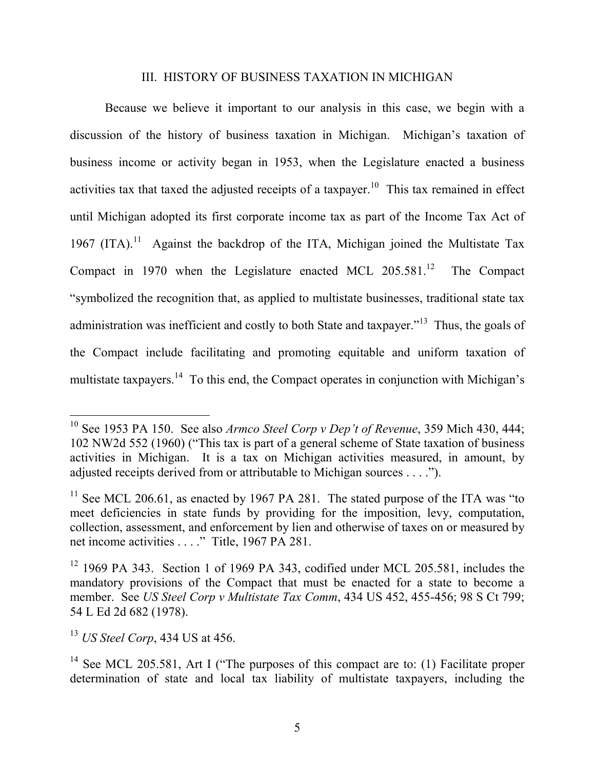#### III. HISTORY OF BUSINESS TAXATION IN MICHIGAN

Because we believe it important to our analysis in this case, we begin with a discussion of the history of business taxation in Michigan. Michigan's taxation of business income or activity began in 1953, when the Legislature enacted a business activities tax that taxed the adjusted receipts of a taxpayer.<sup>10</sup> This tax remained in effect until Michigan adopted its first corporate income tax as part of the Income Tax Act of 1967 (ITA).<sup>11</sup> Against the backdrop of the ITA, Michigan joined the Multistate Tax Compact in 1970 when the Legislature enacted MCL  $205.581<sup>12</sup>$  The Compact "symbolized the recognition that, as applied to multistate businesses, traditional state tax administration was inefficient and costly to both State and taxpayer."13 Thus, the goals of the Compact include facilitating and promoting equitable and uniform taxation of multistate taxpayers.<sup>14</sup> To this end, the Compact operates in conjunction with Michigan's

 <sup>10</sup> See 1953 PA 150. See also *Armco Steel Corp v Dep't of Revenue*, 359 Mich 430, 444; 102 NW2d 552 (1960) ("This tax is part of a general scheme of State taxation of business activities in Michigan. It is a tax on Michigan activities measured, in amount, by adjusted receipts derived from or attributable to Michigan sources . . . .").

<sup>&</sup>lt;sup>11</sup> See MCL 206.61, as enacted by 1967 PA 281. The stated purpose of the ITA was "to" meet deficiencies in state funds by providing for the imposition, levy, computation, collection, assessment, and enforcement by lien and otherwise of taxes on or measured by net income activities . . . ." Title, 1967 PA 281.

 $12$  1969 PA 343. Section 1 of 1969 PA 343, codified under MCL 205.581, includes the mandatory provisions of the Compact that must be enacted for a state to become a member. See *US Steel Corp v Multistate Tax Comm*, 434 US 452, 455-456; 98 S Ct 799; 54 L Ed 2d 682 (1978).

<sup>13</sup> *US Steel Corp*, 434 US at 456.

<sup>&</sup>lt;sup>14</sup> See MCL 205.581, Art I ("The purposes of this compact are to: (1) Facilitate proper determination of state and local tax liability of multistate taxpayers, including the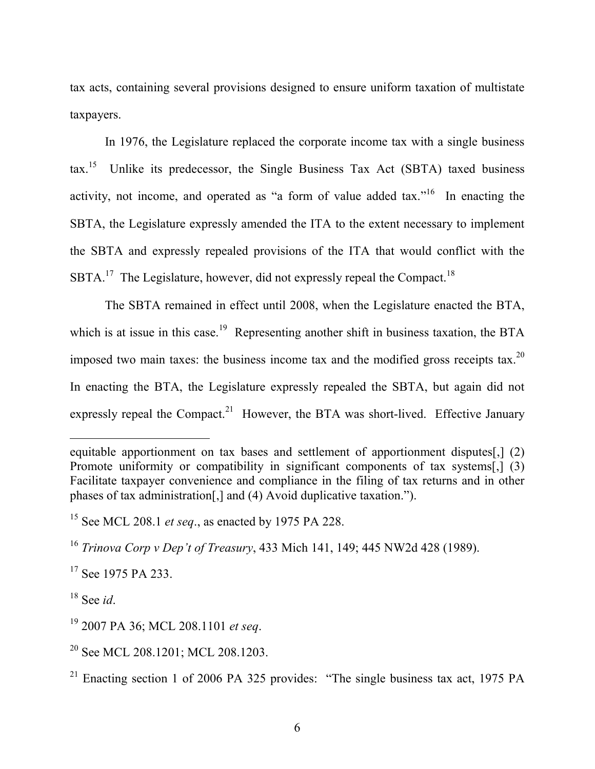tax acts, containing several provisions designed to ensure uniform taxation of multistate taxpayers.

In 1976, the Legislature replaced the corporate income tax with a single business tax.15 Unlike its predecessor, the Single Business Tax Act (SBTA) taxed business activity, not income, and operated as "a form of value added tax."<sup>16</sup> In enacting the SBTA, the Legislature expressly amended the ITA to the extent necessary to implement the SBTA and expressly repealed provisions of the ITA that would conflict with the SBTA.<sup>17</sup> The Legislature, however, did not expressly repeal the Compact.<sup>18</sup>

The SBTA remained in effect until 2008, when the Legislature enacted the BTA, which is at issue in this case.<sup>19</sup> Representing another shift in business taxation, the BTA imposed two main taxes: the business income tax and the modified gross receipts tax.<sup>20</sup> In enacting the BTA, the Legislature expressly repealed the SBTA, but again did not expressly repeal the Compact.<sup>21</sup> However, the BTA was short-lived. Effective January

<sup>17</sup> See 1975 PA 233.

<sup>18</sup> See *id*.

 $\overline{a}$ 

equitable apportionment on tax bases and settlement of apportionment disputes[,] (2) Promote uniformity or compatibility in significant components of tax systems[,] (3) Facilitate taxpayer convenience and compliance in the filing of tax returns and in other phases of tax administration[,] and (4) Avoid duplicative taxation.").

<sup>15</sup> See MCL 208.1 *et seq*., as enacted by 1975 PA 228.

<sup>16</sup> *Trinova Corp v Dep't of Treasury*, 433 Mich 141, 149; 445 NW2d 428 (1989).

<sup>19</sup> 2007 PA 36; MCL 208.1101 *et seq*.

<sup>&</sup>lt;sup>20</sup> See MCL 208.1201; MCL 208.1203.

<sup>&</sup>lt;sup>21</sup> Enacting section 1 of 2006 PA 325 provides: "The single business tax act, 1975 PA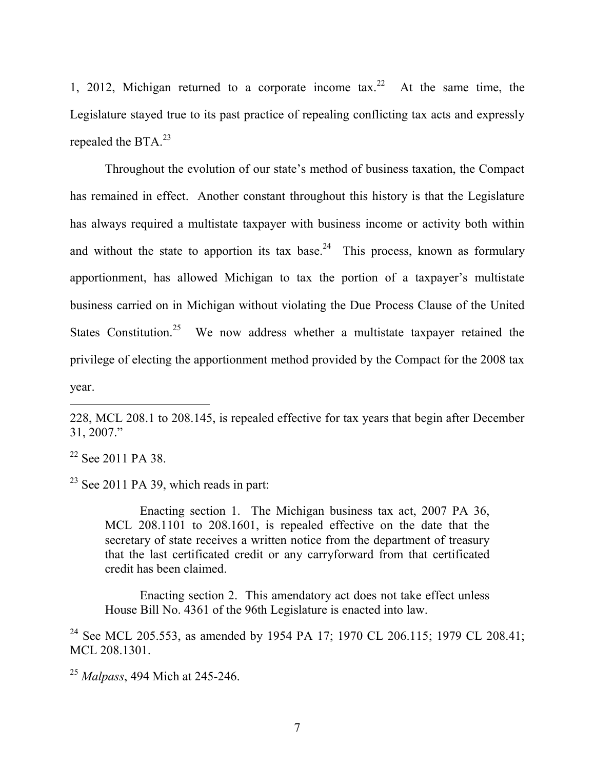1, 2012, Michigan returned to a corporate income tax.<sup>22</sup> At the same time, the Legislature stayed true to its past practice of repealing conflicting tax acts and expressly repealed the BTA.<sup>23</sup>

Throughout the evolution of our state's method of business taxation, the Compact has remained in effect. Another constant throughout this history is that the Legislature has always required a multistate taxpayer with business income or activity both within and without the state to apportion its tax base.<sup>24</sup> This process, known as formulary apportionment, has allowed Michigan to tax the portion of a taxpayer's multistate business carried on in Michigan without violating the Due Process Clause of the United States Constitution.<sup>25</sup> We now address whether a multistate taxpayer retained the privilege of electing the apportionment method provided by the Compact for the 2008 tax year.

<sup>22</sup> See 2011 PA 38.

 $\overline{a}$ 

 $23$  See 2011 PA 39, which reads in part:

Enacting section 1. The Michigan business tax act, 2007 PA 36, MCL 208.1101 to 208.1601, is repealed effective on the date that the secretary of state receives a written notice from the department of treasury that the last certificated credit or any carryforward from that certificated credit has been claimed.

Enacting section 2. This amendatory act does not take effect unless House Bill No. 4361 of the 96th Legislature is enacted into law.

<sup>24</sup> See MCL 205.553, as amended by 1954 PA 17; 1970 CL 206.115; 1979 CL 208.41; MCL 208.1301.

<sup>25</sup> *Malpass*, 494 Mich at 245-246.

<sup>228,</sup> MCL 208.1 to 208.145, is repealed effective for tax years that begin after December 31, 2007."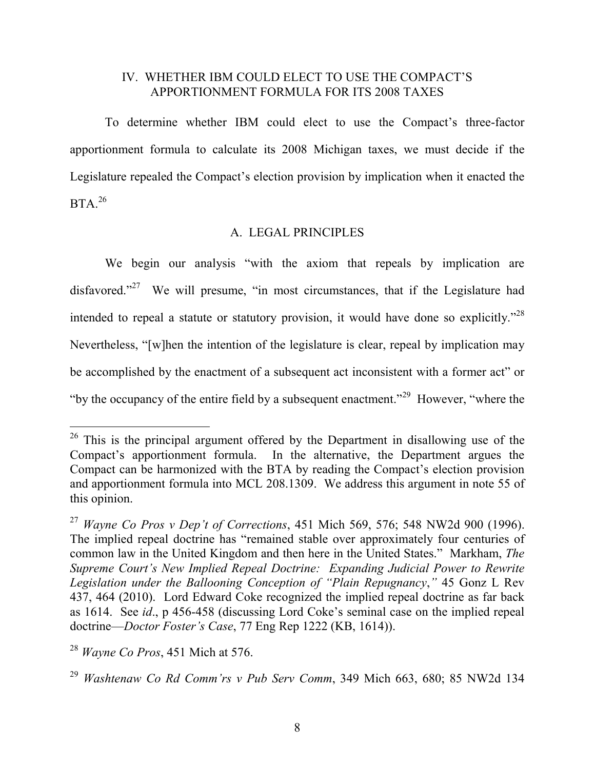### IV. WHETHER IBM COULD ELECT TO USE THE COMPACT'S APPORTIONMENT FORMULA FOR ITS 2008 TAXES

To determine whether IBM could elect to use the Compact's three-factor apportionment formula to calculate its 2008 Michigan taxes, we must decide if the Legislature repealed the Compact's election provision by implication when it enacted the  $BTA.<sup>26</sup>$ 

## A. LEGAL PRINCIPLES

We begin our analysis "with the axiom that repeals by implication are disfavored."<sup>27</sup> We will presume, "in most circumstances, that if the Legislature had intended to repeal a statute or statutory provision, it would have done so explicitly."28 Nevertheless, "[w]hen the intention of the legislature is clear, repeal by implication may be accomplished by the enactment of a subsequent act inconsistent with a former act" or "by the occupancy of the entire field by a subsequent enactment."<sup>29</sup> However, "where the

 $26$  This is the principal argument offered by the Department in disallowing use of the Compact's apportionment formula. In the alternative, the Department argues the Compact can be harmonized with the BTA by reading the Compact's election provision and apportionment formula into MCL 208.1309. We address this argument in note 55 of this opinion.

<sup>27</sup> *Wayne Co Pros v Dep't of Corrections*, 451 Mich 569, 576; 548 NW2d 900 (1996). The implied repeal doctrine has "remained stable over approximately four centuries of common law in the United Kingdom and then here in the United States." Markham, *The Supreme Court's New Implied Repeal Doctrine: Expanding Judicial Power to Rewrite Legislation under the Ballooning Conception of "Plain Repugnancy*,*"* 45 Gonz L Rev 437, 464 (2010). Lord Edward Coke recognized the implied repeal doctrine as far back as 1614. See *id*., p 456-458 (discussing Lord Coke's seminal case on the implied repeal doctrine—*Doctor Foster's Case*, 77 Eng Rep 1222 (KB, 1614)).

<sup>28</sup> *Wayne Co Pros*, 451 Mich at 576.

<sup>29</sup> *Washtenaw Co Rd Comm'rs v Pub Serv Comm*, 349 Mich 663, 680; 85 NW2d 134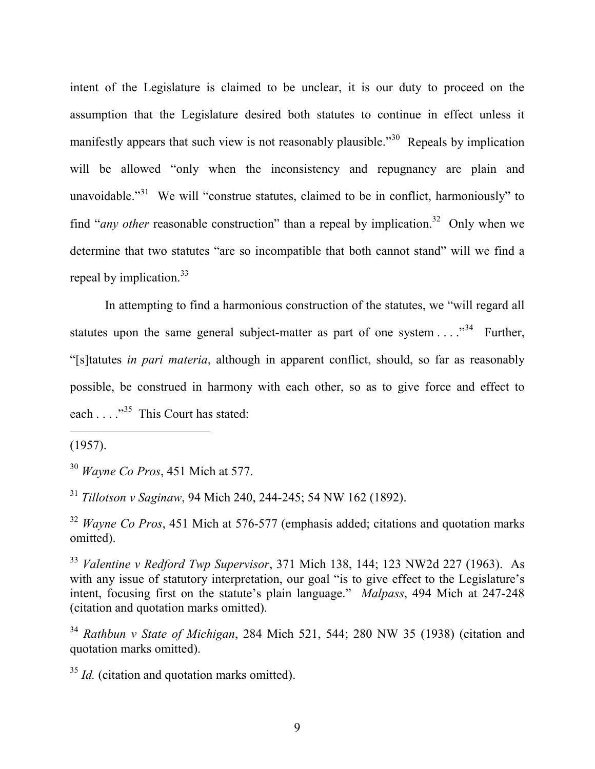intent of the Legislature is claimed to be unclear, it is our duty to proceed on the assumption that the Legislature desired both statutes to continue in effect unless it manifestly appears that such view is not reasonably plausible.<sup>330</sup> Repeals by implication will be allowed "only when the inconsistency and repugnancy are plain and unavoidable."<sup>31</sup> We will "construe statutes, claimed to be in conflict, harmoniously" to find "*any other* reasonable construction" than a repeal by implication.<sup>32</sup> Only when we determine that two statutes "are so incompatible that both cannot stand" will we find a repeal by implication.<sup>33</sup>

In attempting to find a harmonious construction of the statutes, we "will regard all statutes upon the same general subject-matter as part of one system  $\dots$ <sup>34</sup> Further, "[s]tatutes *in pari materia*, although in apparent conflict, should, so far as reasonably possible, be construed in harmony with each other, so as to give force and effect to each . . . ."35 This Court has stated:

(1957).

 $\overline{a}$ 

<sup>30</sup> *Wayne Co Pros*, 451 Mich at 577.

<sup>31</sup> *Tillotson v Saginaw*, 94 Mich 240, 244-245; 54 NW 162 (1892).

<sup>32</sup> *Wayne Co Pros*, 451 Mich at 576-577 (emphasis added; citations and quotation marks omitted).

<sup>33</sup> *Valentine v Redford Twp Supervisor*, 371 Mich 138, 144; 123 NW2d 227 (1963). As with any issue of statutory interpretation, our goal "is to give effect to the Legislature's intent, focusing first on the statute's plain language." *Malpass*, 494 Mich at 247-248 (citation and quotation marks omitted).

<sup>34</sup> *Rathbun v State of Michigan*, 284 Mich 521, 544; 280 NW 35 (1938) (citation and quotation marks omitted).

<sup>35</sup> *Id.* (citation and quotation marks omitted).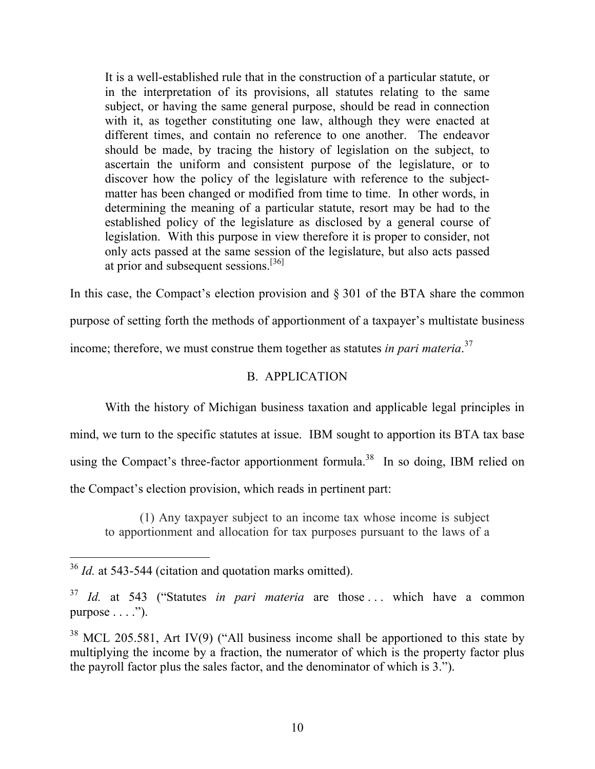It is a well-established rule that in the construction of a particular statute, or in the interpretation of its provisions, all statutes relating to the same subject, or having the same general purpose, should be read in connection with it, as together constituting one law, although they were enacted at different times, and contain no reference to one another. The endeavor should be made, by tracing the history of legislation on the subject, to ascertain the uniform and consistent purpose of the legislature, or to discover how the policy of the legislature with reference to the subjectmatter has been changed or modified from time to time. In other words, in determining the meaning of a particular statute, resort may be had to the established policy of the legislature as disclosed by a general course of legislation. With this purpose in view therefore it is proper to consider, not only acts passed at the same session of the legislature, but also acts passed at prior and subsequent sessions.[36]

In this case, the Compact's election provision and § 301 of the BTA share the common purpose of setting forth the methods of apportionment of a taxpayer's multistate business income; therefore, we must construe them together as statutes *in pari materia*. 37

# B. APPLICATION

With the history of Michigan business taxation and applicable legal principles in mind, we turn to the specific statutes at issue. IBM sought to apportion its BTA tax base using the Compact's three-factor apportionment formula.<sup>38</sup> In so doing, IBM relied on the Compact's election provision, which reads in pertinent part:

(1) Any taxpayer subject to an income tax whose income is subject to apportionment and allocation for tax purposes pursuant to the laws of a

 <sup>36</sup> *Id.* at 543-544 (citation and quotation marks omitted).

<sup>&</sup>lt;sup>37</sup> *Id.* at 543 ("Statutes *in pari materia* are those ... which have a common purpose  $\dots$ .").

 $38$  MCL 205.581, Art IV(9) ("All business income shall be apportioned to this state by multiplying the income by a fraction, the numerator of which is the property factor plus the payroll factor plus the sales factor, and the denominator of which is 3.").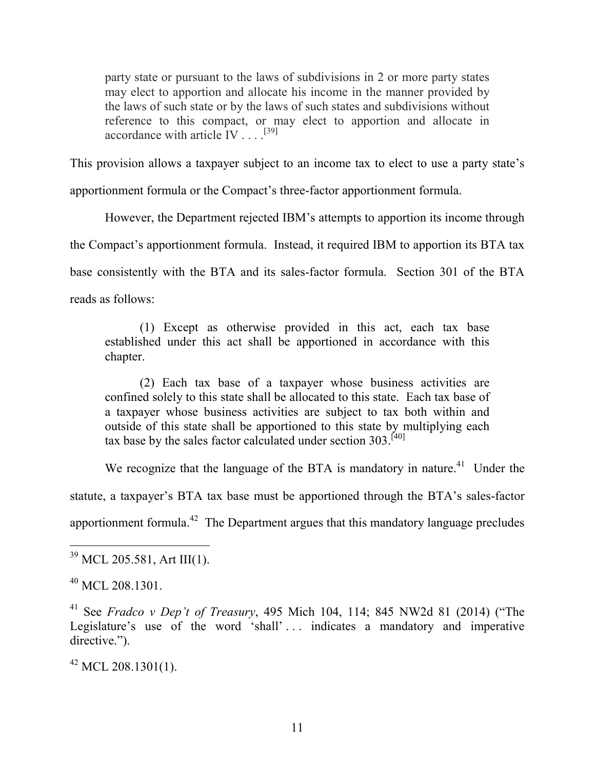party state or pursuant to the laws of subdivisions in 2 or more party states may elect to apportion and allocate his income in the manner provided by the laws of such state or by the laws of such states and subdivisions without reference to this compact, or may elect to apportion and allocate in accordance with article  $\text{IV} \dots$ <sup>[39]</sup>

This provision allows a taxpayer subject to an income tax to elect to use a party state's

apportionment formula or the Compact's three-factor apportionment formula.

However, the Department rejected IBM's attempts to apportion its income through

the Compact's apportionment formula. Instead, it required IBM to apportion its BTA tax

base consistently with the BTA and its sales-factor formula. Section 301 of the BTA

reads as follows:

(1) Except as otherwise provided in this act, each tax base established under this act shall be apportioned in accordance with this chapter.

(2) Each tax base of a taxpayer whose business activities are confined solely to this state shall be allocated to this state. Each tax base of a taxpayer whose business activities are subject to tax both within and outside of this state shall be apportioned to this state by multiplying each tax base by the sales factor calculated under section  $303$ .<sup>[40]</sup>

We recognize that the language of the BTA is mandatory in nature.<sup>41</sup> Under the statute, a taxpayer's BTA tax base must be apportioned through the BTA's sales-factor apportionment formula.42 The Department argues that this mandatory language precludes

 $^{42}$  MCL 208.1301(1).

 <sup>39</sup> MCL 205.581, Art III(1).

 $^{40}$  MCL 208.1301.

<sup>41</sup> See *Fradco v Dep't of Treasury*, 495 Mich 104, 114; 845 NW2d 81 (2014) ("The Legislature's use of the word 'shall' ... indicates a mandatory and imperative directive.").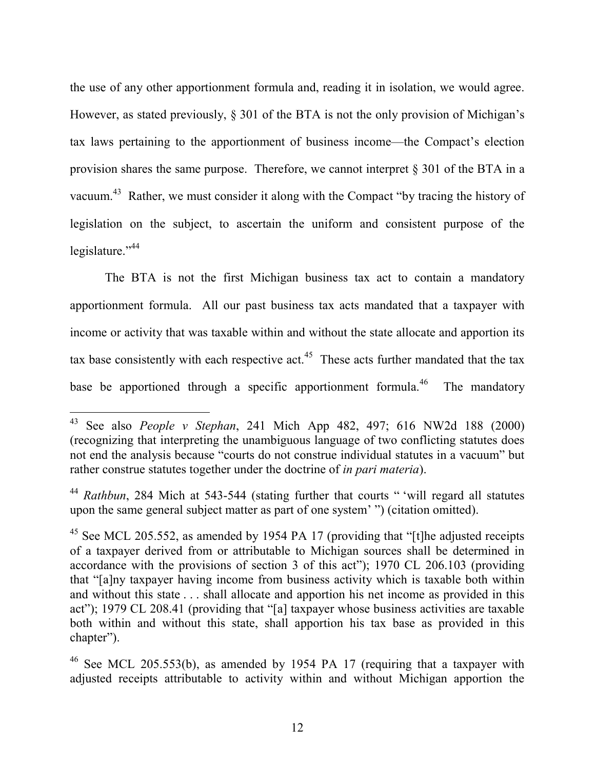the use of any other apportionment formula and, reading it in isolation, we would agree. However, as stated previously,  $\S 301$  of the BTA is not the only provision of Michigan's tax laws pertaining to the apportionment of business income—the Compact's election provision shares the same purpose. Therefore, we cannot interpret § 301 of the BTA in a vacuum.<sup>43</sup> Rather, we must consider it along with the Compact "by tracing the history of legislation on the subject, to ascertain the uniform and consistent purpose of the legislature."<sup>44</sup>

The BTA is not the first Michigan business tax act to contain a mandatory apportionment formula. All our past business tax acts mandated that a taxpayer with income or activity that was taxable within and without the state allocate and apportion its tax base consistently with each respective act.<sup>45</sup> These acts further mandated that the tax base be apportioned through a specific apportionment formula.<sup>46</sup> The mandatory

<sup>44</sup> *Rathbun*, 284 Mich at 543-544 (stating further that courts " 'will regard all statutes upon the same general subject matter as part of one system' ") (citation omitted).

 <sup>43</sup> See also *People v Stephan*, 241 Mich App 482, 497; 616 NW2d 188 (2000) (recognizing that interpreting the unambiguous language of two conflicting statutes does not end the analysis because "courts do not construe individual statutes in a vacuum" but rather construe statutes together under the doctrine of *in pari materia*).

 $45$  See MCL 205.552, as amended by 1954 PA 17 (providing that "[t]he adjusted receipts of a taxpayer derived from or attributable to Michigan sources shall be determined in accordance with the provisions of section 3 of this act"); 1970 CL 206.103 (providing that "[a]ny taxpayer having income from business activity which is taxable both within and without this state . . . shall allocate and apportion his net income as provided in this act"); 1979 CL 208.41 (providing that "[a] taxpayer whose business activities are taxable both within and without this state, shall apportion his tax base as provided in this chapter").

<sup>&</sup>lt;sup>46</sup> See MCL 205.553(b), as amended by 1954 PA 17 (requiring that a taxpayer with adjusted receipts attributable to activity within and without Michigan apportion the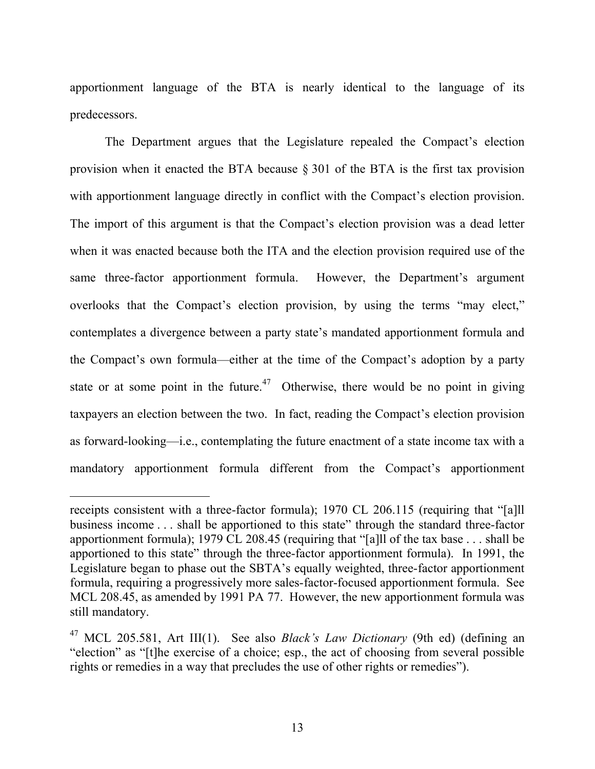apportionment language of the BTA is nearly identical to the language of its predecessors.

The Department argues that the Legislature repealed the Compact's election provision when it enacted the BTA because § 301 of the BTA is the first tax provision with apportionment language directly in conflict with the Compact's election provision. The import of this argument is that the Compact's election provision was a dead letter when it was enacted because both the ITA and the election provision required use of the same three-factor apportionment formula. However, the Department's argument overlooks that the Compact's election provision, by using the terms "may elect," contemplates a divergence between a party state's mandated apportionment formula and the Compact's own formula—either at the time of the Compact's adoption by a party state or at some point in the future.<sup>47</sup> Otherwise, there would be no point in giving taxpayers an election between the two. In fact, reading the Compact's election provision as forward-looking—i.e., contemplating the future enactment of a state income tax with a mandatory apportionment formula different from the Compact's apportionment

receipts consistent with a three-factor formula); 1970 CL 206.115 (requiring that "[a]ll business income . . . shall be apportioned to this state" through the standard three-factor apportionment formula); 1979 CL 208.45 (requiring that "[a]ll of the tax base . . . shall be apportioned to this state" through the three-factor apportionment formula). In 1991, the Legislature began to phase out the SBTA's equally weighted, three-factor apportionment formula, requiring a progressively more sales-factor-focused apportionment formula. See MCL 208.45, as amended by 1991 PA 77. However, the new apportionment formula was still mandatory.

<sup>47</sup> MCL 205.581, Art III(1). See also *Black's Law Dictionary* (9th ed) (defining an "election" as "[t]he exercise of a choice; esp., the act of choosing from several possible rights or remedies in a way that precludes the use of other rights or remedies").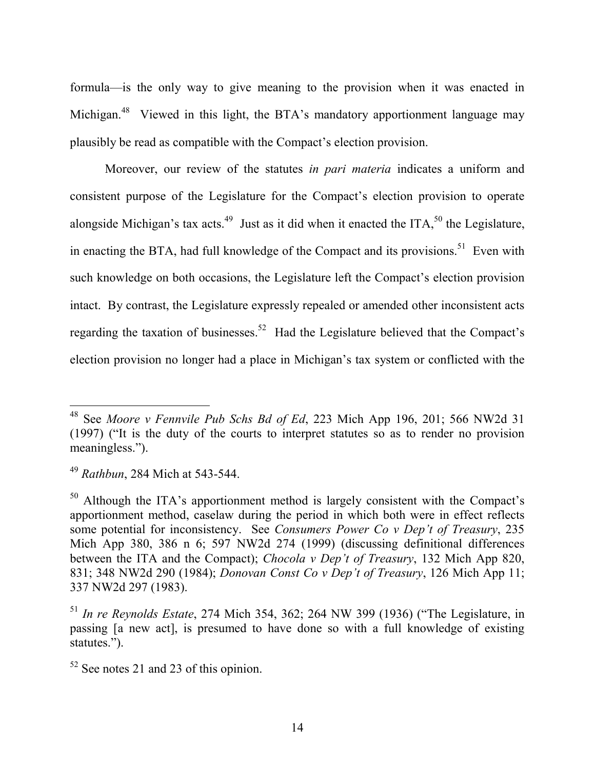formula—is the only way to give meaning to the provision when it was enacted in Michigan.<sup>48</sup> Viewed in this light, the BTA's mandatory apportionment language may plausibly be read as compatible with the Compact's election provision.

Moreover, our review of the statutes *in pari materia* indicates a uniform and consistent purpose of the Legislature for the Compact's election provision to operate alongside Michigan's tax acts.<sup>49</sup> Just as it did when it enacted the ITA,<sup>50</sup> the Legislature, in enacting the BTA, had full knowledge of the Compact and its provisions.<sup>51</sup> Even with such knowledge on both occasions, the Legislature left the Compact's election provision intact. By contrast, the Legislature expressly repealed or amended other inconsistent acts regarding the taxation of businesses.<sup>52</sup> Had the Legislature believed that the Compact's election provision no longer had a place in Michigan's tax system or conflicted with the

 <sup>48</sup> See *Moore v Fennvile Pub Schs Bd of Ed*, 223 Mich App 196, 201; 566 NW2d 31 (1997) ("It is the duty of the courts to interpret statutes so as to render no provision meaningless.").

<sup>49</sup> *Rathbun*, 284 Mich at 543-544.

<sup>&</sup>lt;sup>50</sup> Although the ITA's apportionment method is largely consistent with the Compact's apportionment method, caselaw during the period in which both were in effect reflects some potential for inconsistency. See *Consumers Power Co v Dep't of Treasury*, 235 Mich App 380, 386 n 6; 597 NW2d 274 (1999) (discussing definitional differences between the ITA and the Compact); *Chocola v Dep't of Treasury*, 132 Mich App 820, 831; 348 NW2d 290 (1984); *Donovan Const Co v Dep't of Treasury*, 126 Mich App 11; 337 NW2d 297 (1983).

<sup>51</sup> *In re Reynolds Estate*, 274 Mich 354, 362; 264 NW 399 (1936) ("The Legislature, in passing [a new act], is presumed to have done so with a full knowledge of existing statutes.").

 $52$  See notes 21 and 23 of this opinion.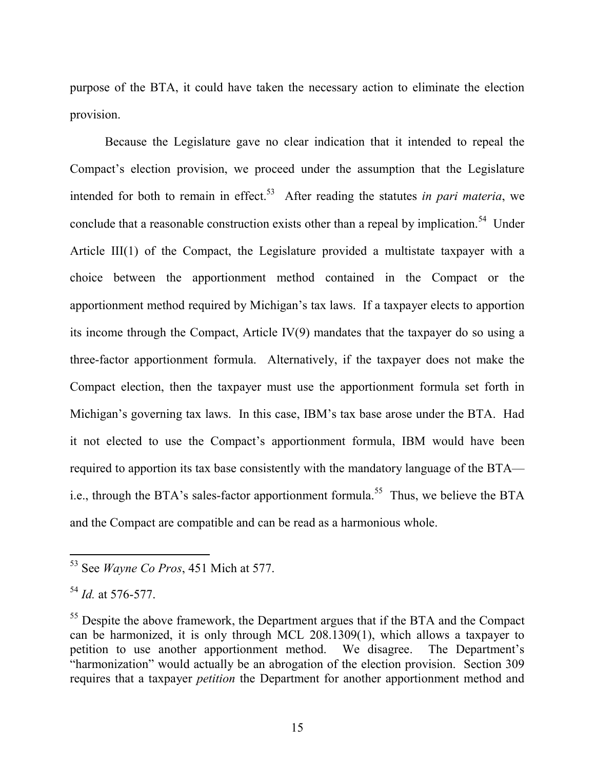purpose of the BTA, it could have taken the necessary action to eliminate the election provision.

Because the Legislature gave no clear indication that it intended to repeal the Compact's election provision, we proceed under the assumption that the Legislature intended for both to remain in effect.<sup>53</sup> After reading the statutes *in pari materia*, we conclude that a reasonable construction exists other than a repeal by implication.<sup>54</sup> Under Article III(1) of the Compact, the Legislature provided a multistate taxpayer with a choice between the apportionment method contained in the Compact or the apportionment method required by Michigan's tax laws. If a taxpayer elects to apportion its income through the Compact, Article IV(9) mandates that the taxpayer do so using a three-factor apportionment formula. Alternatively, if the taxpayer does not make the Compact election, then the taxpayer must use the apportionment formula set forth in Michigan's governing tax laws. In this case, IBM's tax base arose under the BTA. Had it not elected to use the Compact's apportionment formula, IBM would have been required to apportion its tax base consistently with the mandatory language of the BTA i.e., through the BTA's sales-factor apportionment formula.<sup>55</sup> Thus, we believe the BTA and the Compact are compatible and can be read as a harmonious whole.

 <sup>53</sup> See *Wayne Co Pros*, 451 Mich at 577.

<sup>54</sup> *Id.* at 576-577.

<sup>&</sup>lt;sup>55</sup> Despite the above framework, the Department argues that if the BTA and the Compact can be harmonized, it is only through MCL 208.1309(1), which allows a taxpayer to petition to use another apportionment method. We disagree. The Department's "harmonization" would actually be an abrogation of the election provision. Section 309 requires that a taxpayer *petition* the Department for another apportionment method and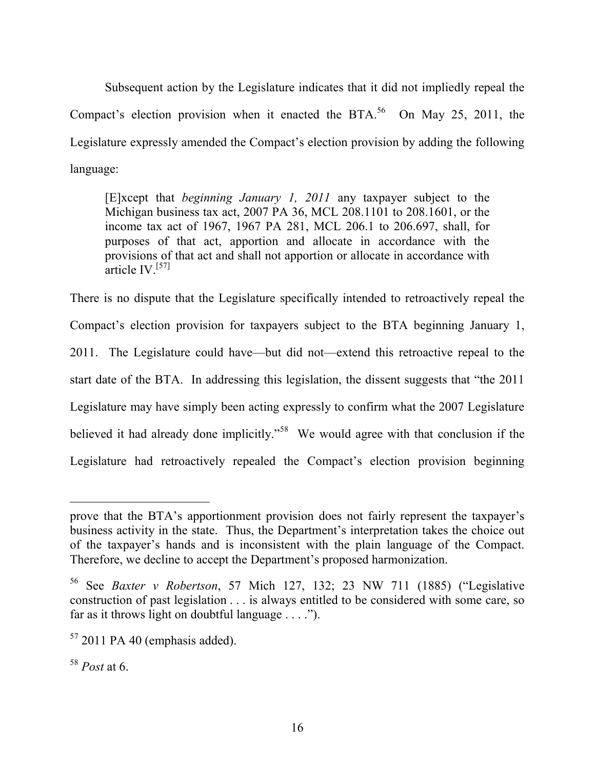Subsequent action by the Legislature indicates that it did not impliedly repeal the Compact's election provision when it enacted the BTA.<sup>56</sup> On May 25, 2011, the Legislature expressly amended the Compact's election provision by adding the following language:

[E]xcept that *beginning January 1, 2011* any taxpayer subject to the Michigan business tax act, 2007 PA 36, MCL 208.1101 to 208.1601, or the income tax act of 1967, 1967 PA 281, MCL 206.1 to 206.697, shall, for purposes of that act, apportion and allocate in accordance with the provisions of that act and shall not apportion or allocate in accordance with  $\ar{$ ficle IV.<sup>[57]</sup>

There is no dispute that the Legislature specifically intended to retroactively repeal the Compact's election provision for taxpayers subject to the BTA beginning January 1, 2011. The Legislature could have—but did not—extend this retroactive repeal to the start date of the BTA. In addressing this legislation, the dissent suggests that "the 2011 Legislature may have simply been acting expressly to confirm what the 2007 Legislature believed it had already done implicitly."<sup>58</sup> We would agree with that conclusion if the Legislature had retroactively repealed the Compact's election provision beginning

prove that the BTA's apportionment provision does not fairly represent the taxpayer's business activity in the state. Thus, the Department's interpretation takes the choice out of the taxpayer's hands and is inconsistent with the plain language of the Compact. Therefore, we decline to accept the Department's proposed harmonization.

<sup>56</sup> See *Baxter v Robertson*, 57 Mich 127, 132; 23 NW 711 (1885) ("Legislative construction of past legislation . . . is always entitled to be considered with some care, so far as it throws light on doubtful language  $\dots$ .").

 $57$  2011 PA 40 (emphasis added).

<sup>58</sup> *Post* at 6.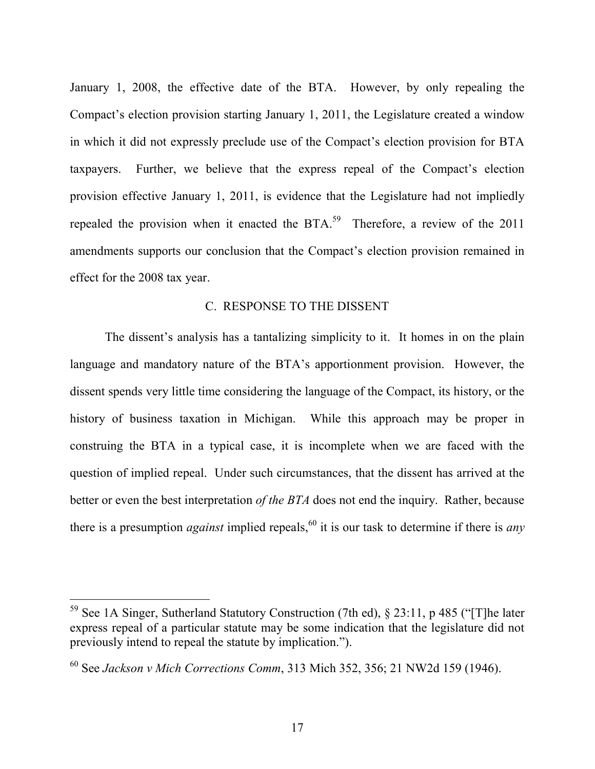January 1, 2008, the effective date of the BTA. However, by only repealing the Compact's election provision starting January 1, 2011, the Legislature created a window in which it did not expressly preclude use of the Compact's election provision for BTA taxpayers. Further, we believe that the express repeal of the Compact's election provision effective January 1, 2011, is evidence that the Legislature had not impliedly repealed the provision when it enacted the BTA.<sup>59</sup> Therefore, a review of the 2011 amendments supports our conclusion that the Compact's election provision remained in effect for the 2008 tax year.

#### C. RESPONSE TO THE DISSENT

The dissent's analysis has a tantalizing simplicity to it. It homes in on the plain language and mandatory nature of the BTA's apportionment provision. However, the dissent spends very little time considering the language of the Compact, its history, or the history of business taxation in Michigan. While this approach may be proper in construing the BTA in a typical case, it is incomplete when we are faced with the question of implied repeal. Under such circumstances, that the dissent has arrived at the better or even the best interpretation *of the BTA* does not end the inquiry. Rather, because there is a presumption *against* implied repeals, <sup>60</sup> it is our task to determine if there is *any* 

 <sup>59</sup> See 1A Singer, Sutherland Statutory Construction (7th ed), § 23:11, p 485 ("[T]he later express repeal of a particular statute may be some indication that the legislature did not previously intend to repeal the statute by implication.").

<sup>60</sup> See *Jackson v Mich Corrections Comm*, 313 Mich 352, 356; 21 NW2d 159 (1946).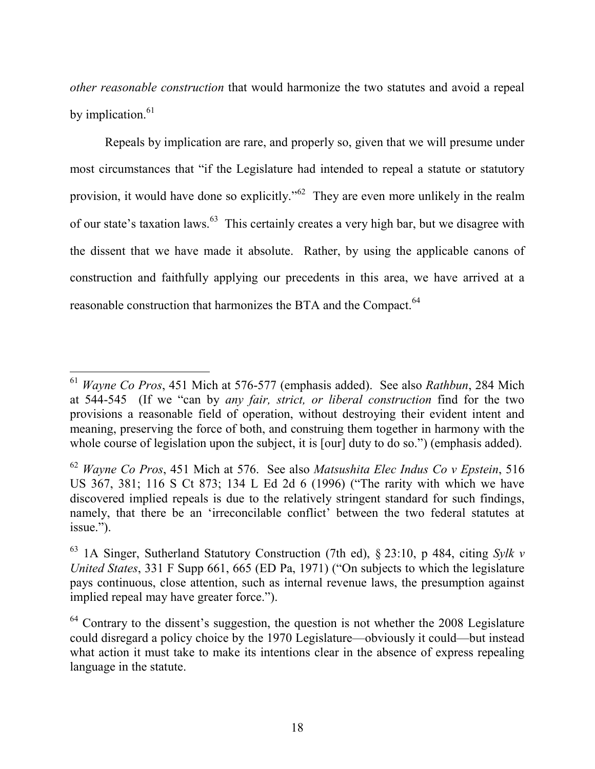*other reasonable construction* that would harmonize the two statutes and avoid a repeal by implication.<sup>61</sup>

Repeals by implication are rare, and properly so, given that we will presume under most circumstances that "if the Legislature had intended to repeal a statute or statutory provision, it would have done so explicitly."62 They are even more unlikely in the realm of our state's taxation laws.63 This certainly creates a very high bar, but we disagree with the dissent that we have made it absolute. Rather, by using the applicable canons of construction and faithfully applying our precedents in this area, we have arrived at a reasonable construction that harmonizes the BTA and the Compact.<sup>64</sup>

 <sup>61</sup> *Wayne Co Pros*, 451 Mich at 576-577 (emphasis added). See also *Rathbun*, 284 Mich at 544-545 (If we "can by *any fair, strict, or liberal construction* find for the two provisions a reasonable field of operation, without destroying their evident intent and meaning, preserving the force of both, and construing them together in harmony with the whole course of legislation upon the subject, it is [our] duty to do so.") (emphasis added).

<sup>62</sup> *Wayne Co Pros*, 451 Mich at 576. See also *Matsushita Elec Indus Co v Epstein*, 516 US 367, 381; 116 S Ct 873; 134 L Ed 2d 6 (1996) ("The rarity with which we have discovered implied repeals is due to the relatively stringent standard for such findings, namely, that there be an 'irreconcilable conflict' between the two federal statutes at issue.").

<sup>63</sup> 1A Singer, Sutherland Statutory Construction (7th ed), § 23:10, p 484, citing *Sylk v United States*, 331 F Supp 661, 665 (ED Pa, 1971) ("On subjects to which the legislature pays continuous, close attention, such as internal revenue laws, the presumption against implied repeal may have greater force.").

 $64$  Contrary to the dissent's suggestion, the question is not whether the 2008 Legislature could disregard a policy choice by the 1970 Legislature—obviously it could—but instead what action it must take to make its intentions clear in the absence of express repealing language in the statute.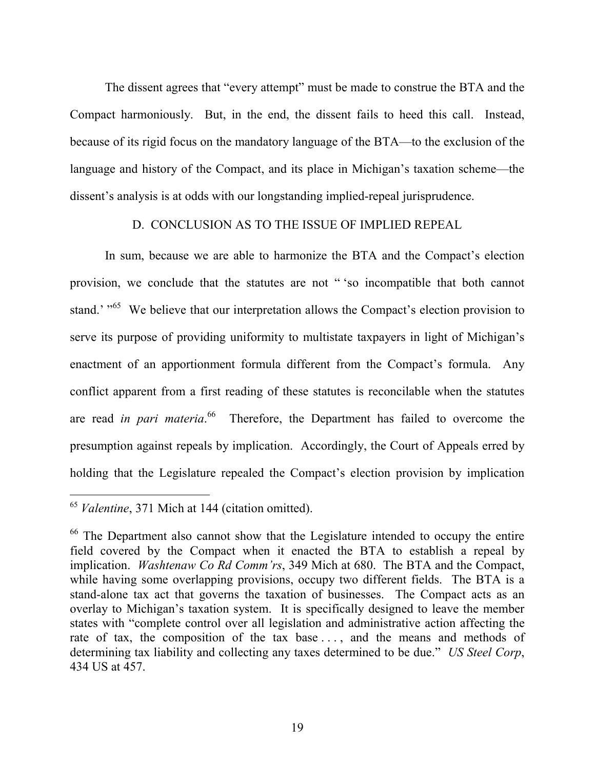The dissent agrees that "every attempt" must be made to construe the BTA and the Compact harmoniously. But, in the end, the dissent fails to heed this call. Instead, because of its rigid focus on the mandatory language of the BTA—to the exclusion of the language and history of the Compact, and its place in Michigan's taxation scheme—the dissent's analysis is at odds with our longstanding implied-repeal jurisprudence.

# D. CONCLUSION AS TO THE ISSUE OF IMPLIED REPEAL

In sum, because we are able to harmonize the BTA and the Compact's election provision, we conclude that the statutes are not " 'so incompatible that both cannot stand.' "<sup>65</sup> We believe that our interpretation allows the Compact's election provision to serve its purpose of providing uniformity to multistate taxpayers in light of Michigan's enactment of an apportionment formula different from the Compact's formula. Any conflict apparent from a first reading of these statutes is reconcilable when the statutes are read *in pari materia*. <sup>66</sup> Therefore, the Department has failed to overcome the presumption against repeals by implication. Accordingly, the Court of Appeals erred by holding that the Legislature repealed the Compact's election provision by implication

 <sup>65</sup> *Valentine*, 371 Mich at 144 (citation omitted).

<sup>&</sup>lt;sup>66</sup> The Department also cannot show that the Legislature intended to occupy the entire field covered by the Compact when it enacted the BTA to establish a repeal by implication. *Washtenaw Co Rd Comm'rs*, 349 Mich at 680. The BTA and the Compact, while having some overlapping provisions, occupy two different fields. The BTA is a stand-alone tax act that governs the taxation of businesses. The Compact acts as an overlay to Michigan's taxation system. It is specifically designed to leave the member states with "complete control over all legislation and administrative action affecting the rate of tax, the composition of the tax base . . . , and the means and methods of determining tax liability and collecting any taxes determined to be due." *US Steel Corp*, 434 US at 457.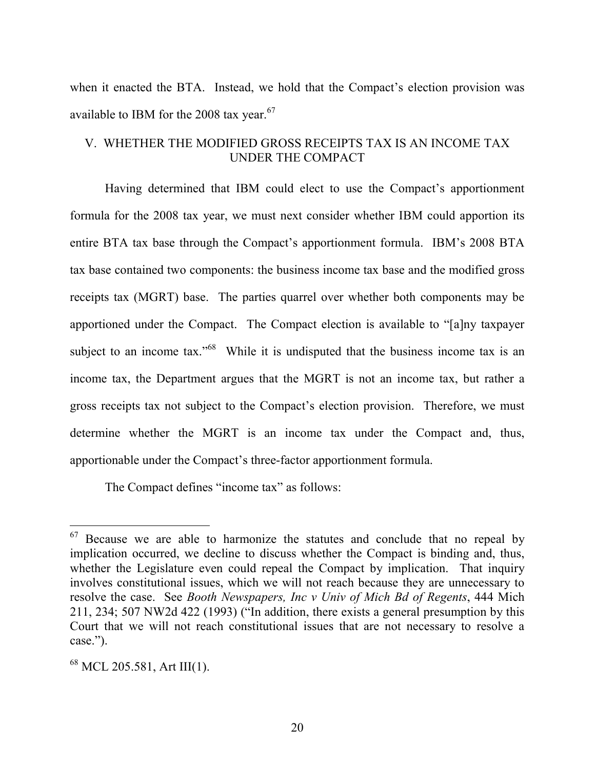when it enacted the BTA. Instead, we hold that the Compact's election provision was available to IBM for the 2008 tax year. $67$ 

# V. WHETHER THE MODIFIED GROSS RECEIPTS TAX IS AN INCOME TAX UNDER THE COMPACT

Having determined that IBM could elect to use the Compact's apportionment formula for the 2008 tax year, we must next consider whether IBM could apportion its entire BTA tax base through the Compact's apportionment formula. IBM's 2008 BTA tax base contained two components: the business income tax base and the modified gross receipts tax (MGRT) base. The parties quarrel over whether both components may be apportioned under the Compact. The Compact election is available to "[a]ny taxpayer subject to an income tax."<sup>68</sup> While it is undisputed that the business income tax is an income tax, the Department argues that the MGRT is not an income tax, but rather a gross receipts tax not subject to the Compact's election provision. Therefore, we must determine whether the MGRT is an income tax under the Compact and, thus, apportionable under the Compact's three-factor apportionment formula.

The Compact defines "income tax" as follows:

 $67$  Because we are able to harmonize the statutes and conclude that no repeal by implication occurred, we decline to discuss whether the Compact is binding and, thus, whether the Legislature even could repeal the Compact by implication. That inquiry involves constitutional issues, which we will not reach because they are unnecessary to resolve the case. See *Booth Newspapers, Inc v Univ of Mich Bd of Regents*, 444 Mich 211, 234; 507 NW2d 422 (1993) ("In addition, there exists a general presumption by this Court that we will not reach constitutional issues that are not necessary to resolve a case.").

<sup>68</sup> MCL 205.581, Art III(1).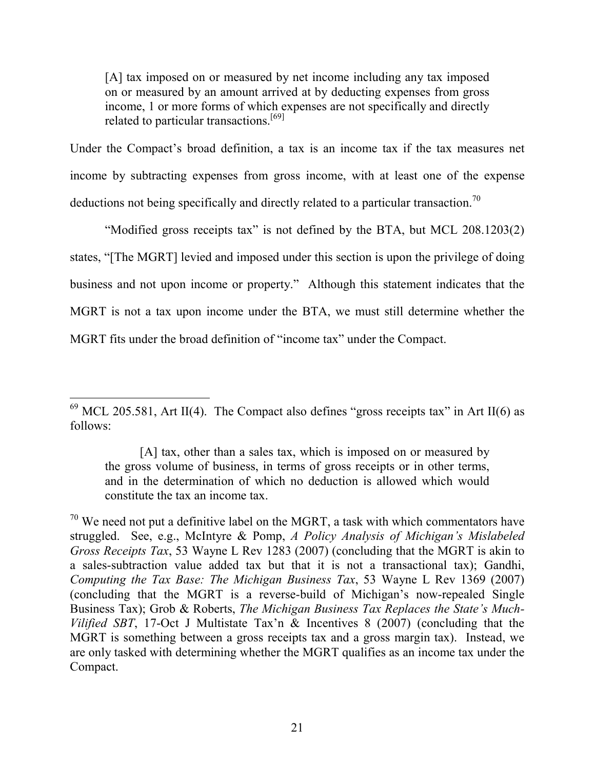[A] tax imposed on or measured by net income including any tax imposed on or measured by an amount arrived at by deducting expenses from gross income, 1 or more forms of which expenses are not specifically and directly related to particular transactions.<sup>[69]</sup>

Under the Compact's broad definition, a tax is an income tax if the tax measures net income by subtracting expenses from gross income, with at least one of the expense deductions not being specifically and directly related to a particular transaction.<sup>70</sup>

"Modified gross receipts tax" is not defined by the BTA, but MCL 208.1203(2) states, "[The MGRT] levied and imposed under this section is upon the privilege of doing business and not upon income or property." Although this statement indicates that the MGRT is not a tax upon income under the BTA, we must still determine whether the MGRT fits under the broad definition of "income tax" under the Compact.

<sup>&</sup>lt;sup>69</sup> MCL 205.581, Art II(4). The Compact also defines "gross receipts tax" in Art II(6) as follows:

<sup>[</sup>A] tax, other than a sales tax, which is imposed on or measured by the gross volume of business, in terms of gross receipts or in other terms, and in the determination of which no deduction is allowed which would constitute the tax an income tax.

 $70$  We need not put a definitive label on the MGRT, a task with which commentators have struggled. See, e.g., McIntyre & Pomp, *A Policy Analysis of Michigan's Mislabeled Gross Receipts Tax*, 53 Wayne L Rev 1283 (2007) (concluding that the MGRT is akin to a sales-subtraction value added tax but that it is not a transactional tax); Gandhi, *Computing the Tax Base: The Michigan Business Tax*, 53 Wayne L Rev 1369 (2007) (concluding that the MGRT is a reverse-build of Michigan's now-repealed Single Business Tax); Grob & Roberts, *The Michigan Business Tax Replaces the State's Much-Vilified SBT*, 17-Oct J Multistate Tax'n & Incentives 8 (2007) (concluding that the MGRT is something between a gross receipts tax and a gross margin tax). Instead, we are only tasked with determining whether the MGRT qualifies as an income tax under the Compact.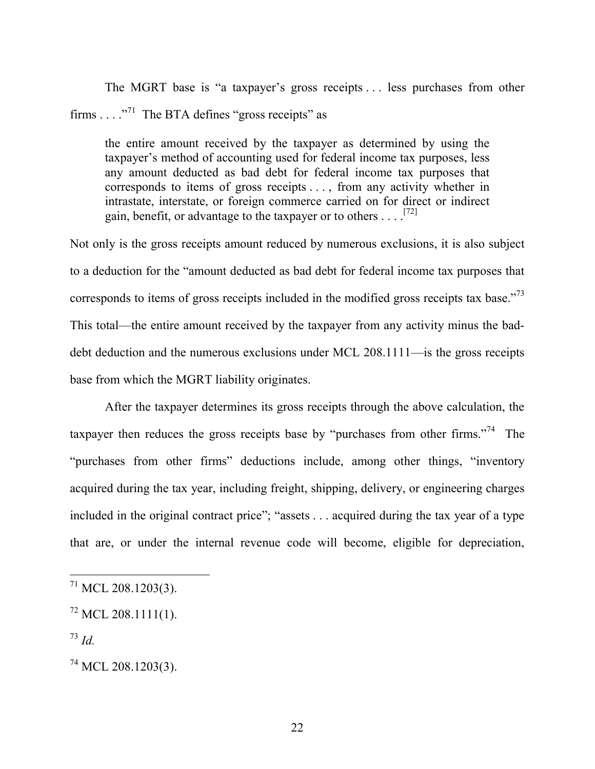The MGRT base is "a taxpayer's gross receipts . . . less purchases from other firms . . . ."<sup>71</sup> The BTA defines "gross receipts" as

the entire amount received by the taxpayer as determined by using the taxpayer's method of accounting used for federal income tax purposes, less any amount deducted as bad debt for federal income tax purposes that corresponds to items of gross receipts . . . , from any activity whether in intrastate, interstate, or foreign commerce carried on for direct or indirect gain, benefit, or advantage to the taxpayer or to others . . . .<sup>[72]</sup>

Not only is the gross receipts amount reduced by numerous exclusions, it is also subject to a deduction for the "amount deducted as bad debt for federal income tax purposes that corresponds to items of gross receipts included in the modified gross receipts tax base."<sup>73</sup> This total—the entire amount received by the taxpayer from any activity minus the baddebt deduction and the numerous exclusions under MCL 208.1111—is the gross receipts base from which the MGRT liability originates.

After the taxpayer determines its gross receipts through the above calculation, the taxpayer then reduces the gross receipts base by "purchases from other firms."<sup>74</sup> The "purchases from other firms" deductions include, among other things, "inventory acquired during the tax year, including freight, shipping, delivery, or engineering charges included in the original contract price"; "assets . . . acquired during the tax year of a type that are, or under the internal revenue code will become, eligible for depreciation,

 $71$  MCL 208.1203(3).

 $^{72}$  MCL 208.1111(1).

<sup>73</sup> *Id.*

<sup>&</sup>lt;sup>74</sup> MCL 208.1203(3).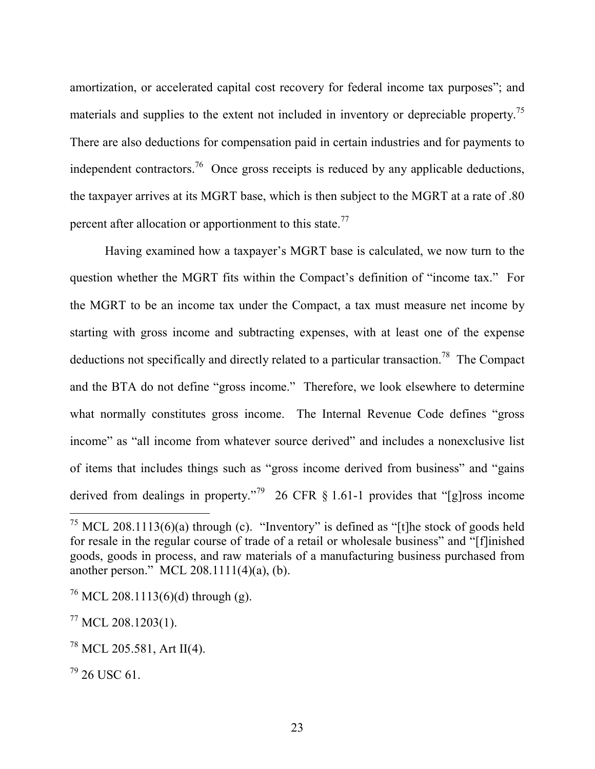amortization, or accelerated capital cost recovery for federal income tax purposes"; and materials and supplies to the extent not included in inventory or depreciable property.<sup>75</sup> There are also deductions for compensation paid in certain industries and for payments to independent contractors.<sup>76</sup> Once gross receipts is reduced by any applicable deductions, the taxpayer arrives at its MGRT base, which is then subject to the MGRT at a rate of .80 percent after allocation or apportionment to this state.<sup>77</sup>

Having examined how a taxpayer's MGRT base is calculated, we now turn to the question whether the MGRT fits within the Compact's definition of "income tax." For the MGRT to be an income tax under the Compact, a tax must measure net income by starting with gross income and subtracting expenses, with at least one of the expense deductions not specifically and directly related to a particular transaction.<sup>78</sup> The Compact and the BTA do not define "gross income." Therefore, we look elsewhere to determine what normally constitutes gross income. The Internal Revenue Code defines "gross income" as "all income from whatever source derived" and includes a nonexclusive list of items that includes things such as "gross income derived from business" and "gains derived from dealings in property."<sup>79</sup> 26 CFR  $\S$  1.61-1 provides that "[g]ross income

<sup>&</sup>lt;sup>75</sup> MCL 208.1113(6)(a) through (c). "Inventory" is defined as "[t]he stock of goods held for resale in the regular course of trade of a retail or wholesale business" and "[f]inished goods, goods in process, and raw materials of a manufacturing business purchased from another person." MCL 208.1111(4)(a), (b).

 $^{76}$  MCL 208.1113(6)(d) through (g).

 $^{77}$  MCL 208.1203(1).

 $^{78}$  MCL 205.581, Art II(4).

 $^{79}$  26 USC 61.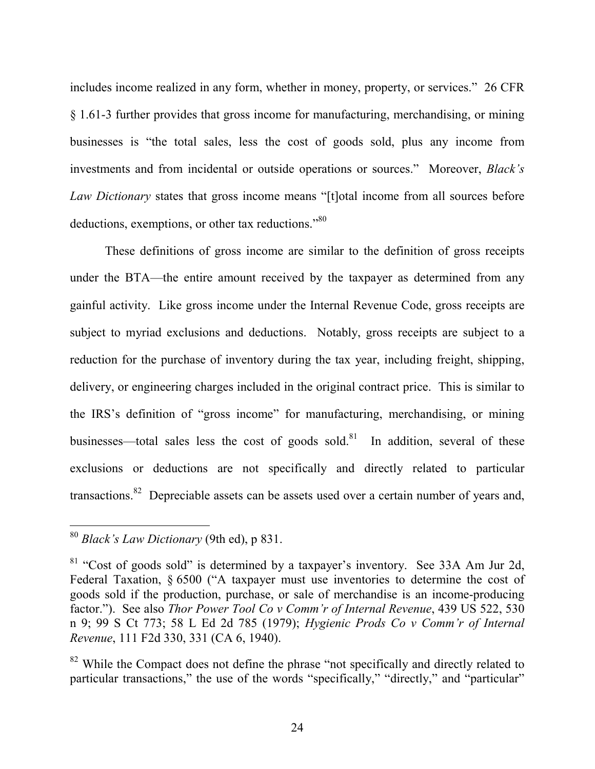includes income realized in any form, whether in money, property, or services." 26 CFR § 1.61-3 further provides that gross income for manufacturing, merchandising, or mining businesses is "the total sales, less the cost of goods sold, plus any income from investments and from incidental or outside operations or sources." Moreover, *Black's Law Dictionary* states that gross income means "[t]otal income from all sources before deductions, exemptions, or other tax reductions."<sup>80</sup>

These definitions of gross income are similar to the definition of gross receipts under the BTA—the entire amount received by the taxpayer as determined from any gainful activity. Like gross income under the Internal Revenue Code, gross receipts are subject to myriad exclusions and deductions. Notably, gross receipts are subject to a reduction for the purchase of inventory during the tax year, including freight, shipping, delivery, or engineering charges included in the original contract price. This is similar to the IRS's definition of "gross income" for manufacturing, merchandising, or mining businesses—total sales less the cost of goods sold.<sup>81</sup> In addition, several of these exclusions or deductions are not specifically and directly related to particular transactions.<sup>82</sup> Depreciable assets can be assets used over a certain number of years and,

 <sup>80</sup> *Black's Law Dictionary* (9th ed), p 831.

 $81$  "Cost of goods sold" is determined by a taxpayer's inventory. See 33A Am Jur 2d, Federal Taxation, § 6500 ("A taxpayer must use inventories to determine the cost of goods sold if the production, purchase, or sale of merchandise is an income-producing factor."). See also *Thor Power Tool Co v Comm'r of Internal Revenue*, 439 US 522, 530 n 9; 99 S Ct 773; 58 L Ed 2d 785 (1979); *Hygienic Prods Co v Comm'r of Internal Revenue*, 111 F2d 330, 331 (CA 6, 1940).

<sup>&</sup>lt;sup>82</sup> While the Compact does not define the phrase "not specifically and directly related to particular transactions," the use of the words "specifically," "directly," and "particular"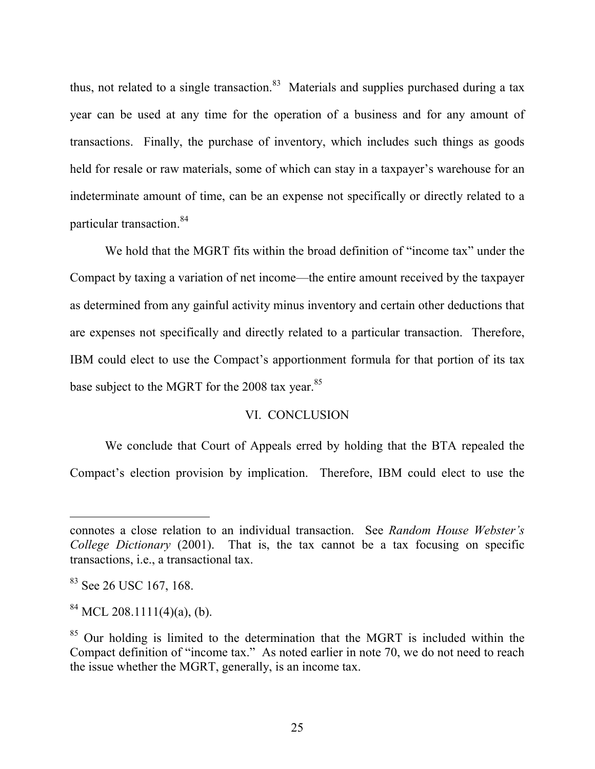thus, not related to a single transaction.<sup>83</sup> Materials and supplies purchased during a tax year can be used at any time for the operation of a business and for any amount of transactions. Finally, the purchase of inventory, which includes such things as goods held for resale or raw materials, some of which can stay in a taxpayer's warehouse for an indeterminate amount of time, can be an expense not specifically or directly related to a particular transaction. 84

We hold that the MGRT fits within the broad definition of "income tax" under the Compact by taxing a variation of net income—the entire amount received by the taxpayer as determined from any gainful activity minus inventory and certain other deductions that are expenses not specifically and directly related to a particular transaction. Therefore, IBM could elect to use the Compact's apportionment formula for that portion of its tax base subject to the MGRT for the 2008 tax year.<sup>85</sup>

## VI. CONCLUSION

We conclude that Court of Appeals erred by holding that the BTA repealed the Compact's election provision by implication. Therefore, IBM could elect to use the

-

connotes a close relation to an individual transaction. See *Random House Webster's College Dictionary* (2001). That is, the tax cannot be a tax focusing on specific transactions, i.e., a transactional tax.

<sup>&</sup>lt;sup>83</sup> See 26 USC 167, 168.

 $^{84}$  MCL 208.1111(4)(a), (b).

<sup>&</sup>lt;sup>85</sup> Our holding is limited to the determination that the MGRT is included within the Compact definition of "income tax." As noted earlier in note 70, we do not need to reach the issue whether the MGRT, generally, is an income tax.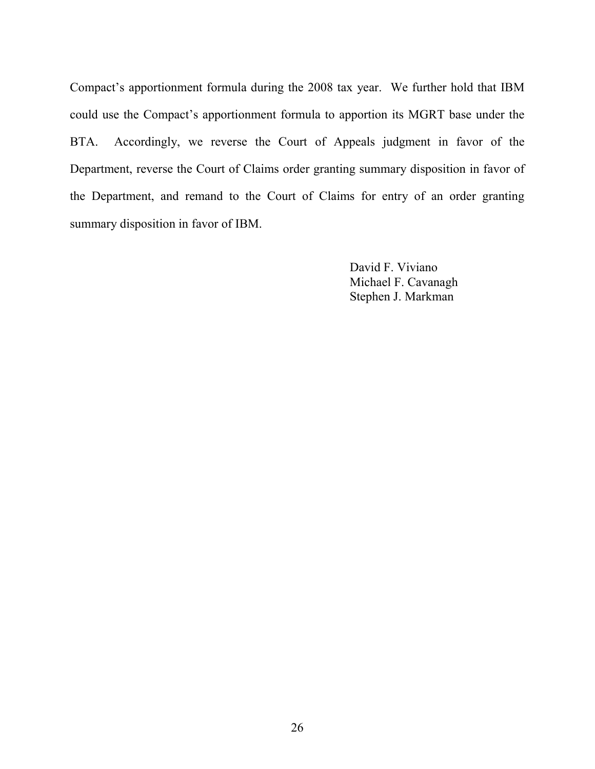Compact's apportionment formula during the 2008 tax year. We further hold that IBM could use the Compact's apportionment formula to apportion its MGRT base under the BTA. Accordingly, we reverse the Court of Appeals judgment in favor of the Department, reverse the Court of Claims order granting summary disposition in favor of the Department, and remand to the Court of Claims for entry of an order granting summary disposition in favor of IBM.

> David F. Viviano Michael F. Cavanagh Stephen J. Markman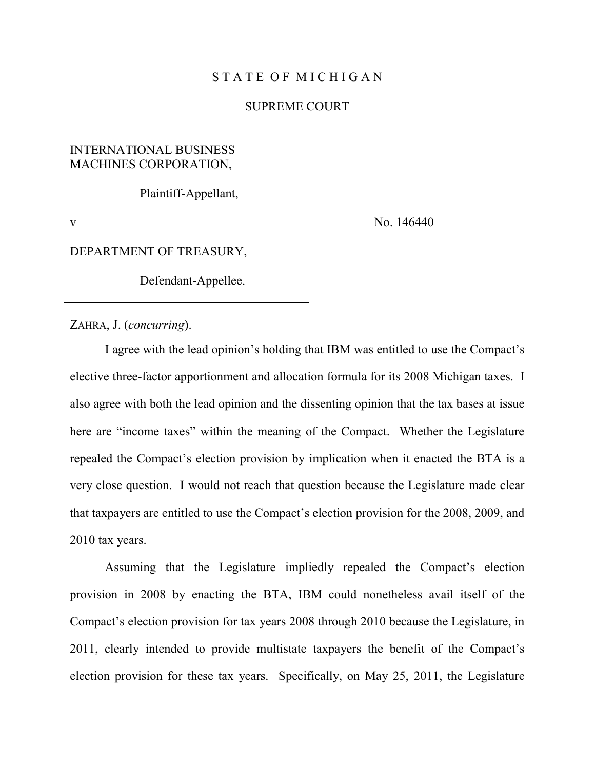#### STATE OF MICHIGAN

#### SUPREME COURT

# INTERNATIONAL BUSINESS MACHINES CORPORATION,

Plaintiff-Appellant,

v No. 146440

#### DEPARTMENT OF TREASURY,

Defendant-Appellee.

ZAHRA, J. (*concurring*).

I agree with the lead opinion's holding that IBM was entitled to use the Compact's elective three-factor apportionment and allocation formula for its 2008 Michigan taxes. I also agree with both the lead opinion and the dissenting opinion that the tax bases at issue here are "income taxes" within the meaning of the Compact. Whether the Legislature repealed the Compact's election provision by implication when it enacted the BTA is a very close question. I would not reach that question because the Legislature made clear that taxpayers are entitled to use the Compact's election provision for the 2008, 2009, and 2010 tax years.

Assuming that the Legislature impliedly repealed the Compact's election provision in 2008 by enacting the BTA, IBM could nonetheless avail itself of the Compact's election provision for tax years 2008 through 2010 because the Legislature, in 2011, clearly intended to provide multistate taxpayers the benefit of the Compact's election provision for these tax years. Specifically, on May 25, 2011, the Legislature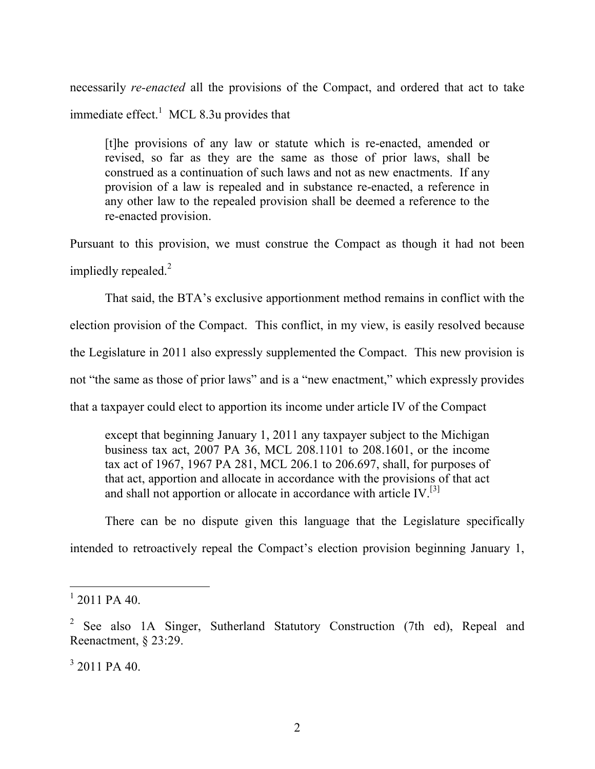necessarily *re-enacted* all the provisions of the Compact, and ordered that act to take immediate effect.<sup>1</sup> MCL 8.3u provides that

[t]he provisions of any law or statute which is re-enacted, amended or revised, so far as they are the same as those of prior laws, shall be construed as a continuation of such laws and not as new enactments. If any provision of a law is repealed and in substance re-enacted, a reference in any other law to the repealed provision shall be deemed a reference to the re-enacted provision.

Pursuant to this provision, we must construe the Compact as though it had not been impliedly repealed. $2$ 

That said, the BTA's exclusive apportionment method remains in conflict with the election provision of the Compact. This conflict, in my view, is easily resolved because the Legislature in 2011 also expressly supplemented the Compact. This new provision is not "the same as those of prior laws" and is a "new enactment," which expressly provides that a taxpayer could elect to apportion its income under article IV of the Compact

except that beginning January 1, 2011 any taxpayer subject to the Michigan business tax act, 2007 PA 36, MCL 208.1101 to 208.1601, or the income tax act of 1967, 1967 PA 281, MCL 206.1 to 206.697, shall, for purposes of that act, apportion and allocate in accordance with the provisions of that act and shall not apportion or allocate in accordance with article IV.[3]

There can be no dispute given this language that the Legislature specifically intended to retroactively repeal the Compact's election provision beginning January 1,

 $1$  2011 PA 40.

<sup>&</sup>lt;sup>2</sup> See also 1A Singer, Sutherland Statutory Construction (7th ed), Repeal and Reenactment, § 23:29.

 $3$  2011 PA 40.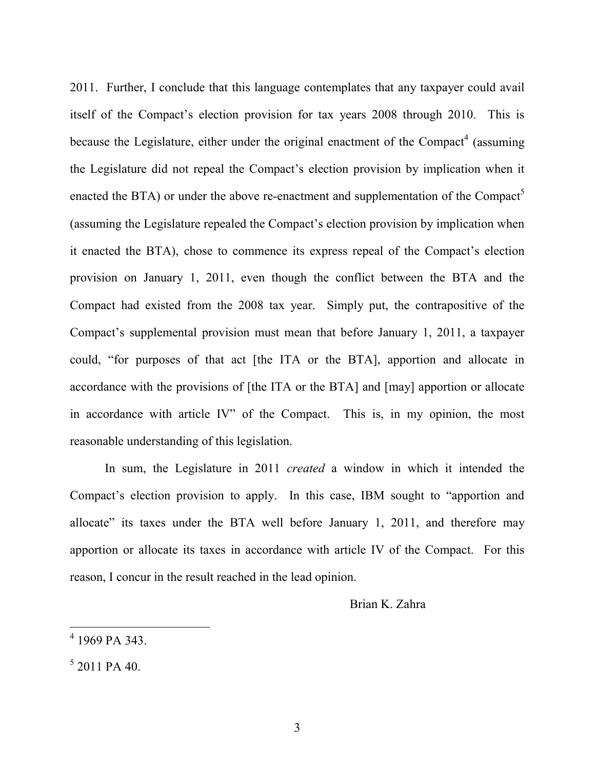2011. Further, I conclude that this language contemplates that any taxpayer could avail itself of the Compact's election provision for tax years 2008 through 2010. This is because the Legislature, either under the original enactment of the Compact<sup>4</sup> (assuming the Legislature did not repeal the Compact's election provision by implication when it enacted the BTA) or under the above re-enactment and supplementation of the Compact<sup>5</sup> (assuming the Legislature repealed the Compact's election provision by implication when it enacted the BTA), chose to commence its express repeal of the Compact's election provision on January 1, 2011, even though the conflict between the BTA and the Compact had existed from the 2008 tax year. Simply put, the contrapositive of the Compact's supplemental provision must mean that before January 1, 2011, a taxpayer could, "for purposes of that act [the ITA or the BTA], apportion and allocate in accordance with the provisions of [the ITA or the BTA] and [may] apportion or allocate in accordance with article IV" of the Compact. This is, in my opinion, the most reasonable understanding of this legislation.

In sum, the Legislature in 2011 *created* a window in which it intended the Compact's election provision to apply. In this case, IBM sought to "apportion and allocate" its taxes under the BTA well before January 1, 2011, and therefore may apportion or allocate its taxes in accordance with article IV of the Compact. For this reason, I concur in the result reached in the lead opinion.

Brian K. Zahra

 <sup>4</sup> 1969 PA 343.

 $5$  2011 PA 40.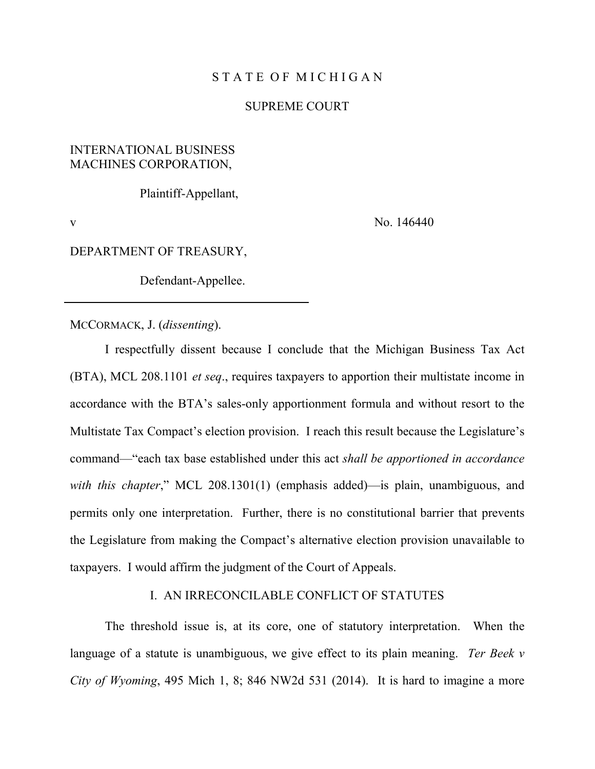#### STATE OF MICHIGAN

#### SUPREME COURT

# INTERNATIONAL BUSINESS MACHINES CORPORATION,

Plaintiff-Appellant,

v No. 146440

#### DEPARTMENT OF TREASURY,

Defendant-Appellee.

MCCORMACK, J. (*dissenting*).

I respectfully dissent because I conclude that the Michigan Business Tax Act (BTA), MCL 208.1101 *et seq*., requires taxpayers to apportion their multistate income in accordance with the BTA's sales-only apportionment formula and without resort to the Multistate Tax Compact's election provision. I reach this result because the Legislature's command—"each tax base established under this act *shall be apportioned in accordance with this chapter*," MCL 208.1301(1) (emphasis added)—is plain, unambiguous, and permits only one interpretation. Further, there is no constitutional barrier that prevents the Legislature from making the Compact's alternative election provision unavailable to taxpayers. I would affirm the judgment of the Court of Appeals.

# I. AN IRRECONCILABLE CONFLICT OF STATUTES

The threshold issue is, at its core, one of statutory interpretation. When the language of a statute is unambiguous, we give effect to its plain meaning. *Ter Beek v City of Wyoming*, 495 Mich 1, 8; 846 NW2d 531 (2014). It is hard to imagine a more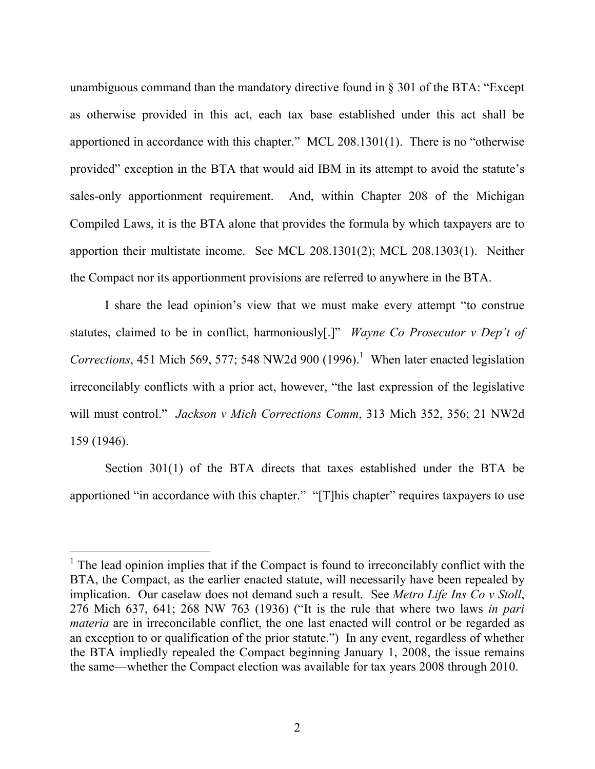unambiguous command than the mandatory directive found in § 301 of the BTA: "Except as otherwise provided in this act, each tax base established under this act shall be apportioned in accordance with this chapter." MCL 208.1301(1). There is no "otherwise provided" exception in the BTA that would aid IBM in its attempt to avoid the statute's sales-only apportionment requirement. And, within Chapter 208 of the Michigan Compiled Laws, it is the BTA alone that provides the formula by which taxpayers are to apportion their multistate income. See MCL 208.1301(2); MCL 208.1303(1). Neither the Compact nor its apportionment provisions are referred to anywhere in the BTA.

I share the lead opinion's view that we must make every attempt "to construe statutes, claimed to be in conflict, harmoniously[.]" *Wayne Co Prosecutor v Dep't of Corrections*, 451 Mich 569, 577; 548 NW2d 900  $(1996)$ .<sup>1</sup> When later enacted legislation irreconcilably conflicts with a prior act, however, "the last expression of the legislative will must control." *Jackson v Mich Corrections Comm*, 313 Mich 352, 356; 21 NW2d 159 (1946).

Section 301(1) of the BTA directs that taxes established under the BTA be apportioned "in accordance with this chapter." "[T]his chapter" requires taxpayers to use

 $1$  The lead opinion implies that if the Compact is found to irreconcilably conflict with the BTA, the Compact, as the earlier enacted statute, will necessarily have been repealed by implication. Our caselaw does not demand such a result. See *Metro Life Ins Co v Stoll*, 276 Mich 637, 641; 268 NW 763 (1936) ("It is the rule that where two laws *in pari materia* are in irreconcilable conflict, the one last enacted will control or be regarded as an exception to or qualification of the prior statute.") In any event, regardless of whether the BTA impliedly repealed the Compact beginning January 1, 2008, the issue remains the same—whether the Compact election was available for tax years 2008 through 2010.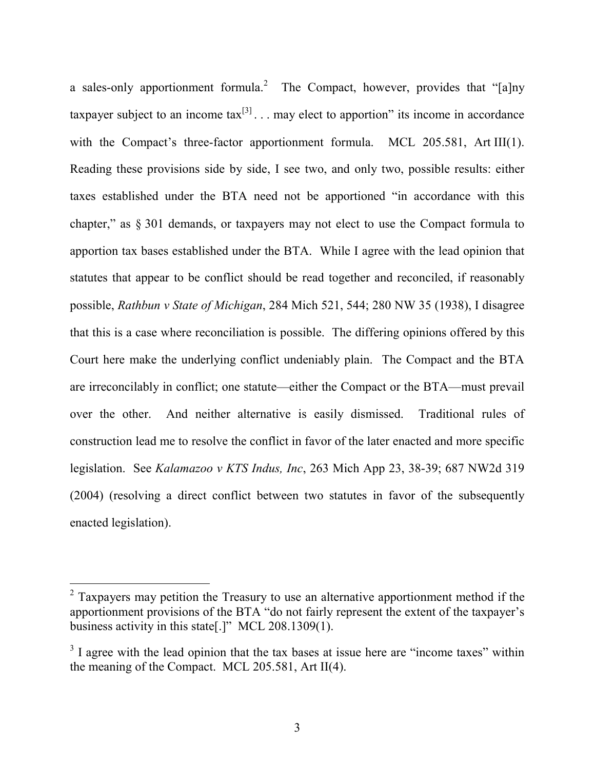a sales-only apportionment formula.<sup>2</sup> The Compact, however, provides that "[a]ny taxpayer subject to an income tax $^{[3]}$ ... may elect to apportion" its income in accordance with the Compact's three-factor apportionment formula. MCL 205.581, Art III(1). Reading these provisions side by side, I see two, and only two, possible results: either taxes established under the BTA need not be apportioned "in accordance with this chapter," as § 301 demands, or taxpayers may not elect to use the Compact formula to apportion tax bases established under the BTA. While I agree with the lead opinion that statutes that appear to be conflict should be read together and reconciled, if reasonably possible, *Rathbun v State of Michigan*, 284 Mich 521, 544; 280 NW 35 (1938), I disagree that this is a case where reconciliation is possible. The differing opinions offered by this Court here make the underlying conflict undeniably plain. The Compact and the BTA are irreconcilably in conflict; one statute—either the Compact or the BTA—must prevail over the other. And neither alternative is easily dismissed. Traditional rules of construction lead me to resolve the conflict in favor of the later enacted and more specific legislation. See *Kalamazoo v KTS Indus, Inc*, 263 Mich App 23, 38-39; 687 NW2d 319 (2004) (resolving a direct conflict between two statutes in favor of the subsequently enacted legislation).

<sup>&</sup>lt;sup>2</sup> Taxpayers may petition the Treasury to use an alternative apportionment method if the apportionment provisions of the BTA "do not fairly represent the extent of the taxpayer's business activity in this state[.]" MCL 208.1309(1).

 $3\overline{1}$  agree with the lead opinion that the tax bases at issue here are "income taxes" within the meaning of the Compact. MCL 205.581, Art II(4).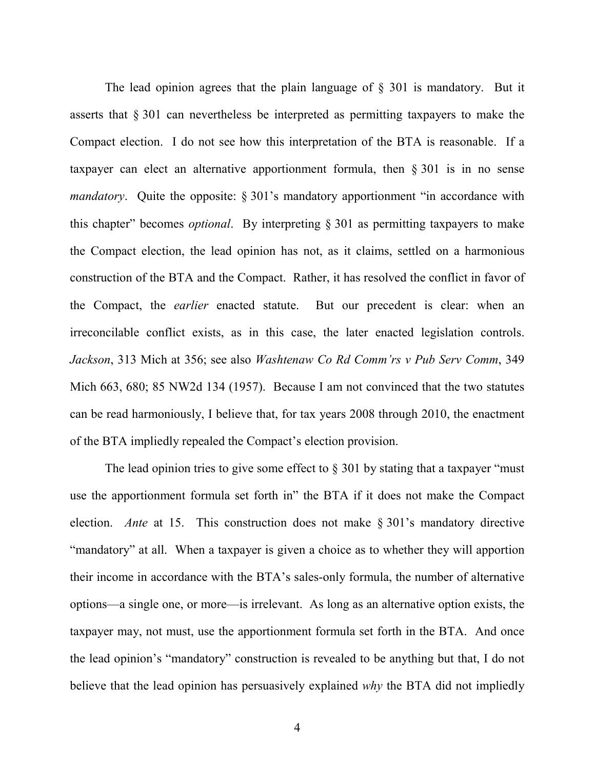The lead opinion agrees that the plain language of § 301 is mandatory. But it asserts that § 301 can nevertheless be interpreted as permitting taxpayers to make the Compact election. I do not see how this interpretation of the BTA is reasonable. If a taxpayer can elect an alternative apportionment formula, then § 301 is in no sense *mandatory*. Quite the opposite: § 301's mandatory apportionment "in accordance with this chapter" becomes *optional*. By interpreting § 301 as permitting taxpayers to make the Compact election, the lead opinion has not, as it claims, settled on a harmonious construction of the BTA and the Compact. Rather, it has resolved the conflict in favor of the Compact, the *earlier* enacted statute. But our precedent is clear: when an irreconcilable conflict exists, as in this case, the later enacted legislation controls. *Jackson*, 313 Mich at 356; see also *Washtenaw Co Rd Comm'rs v Pub Serv Comm*, 349 Mich 663, 680; 85 NW2d 134 (1957). Because I am not convinced that the two statutes can be read harmoniously, I believe that, for tax years 2008 through 2010, the enactment of the BTA impliedly repealed the Compact's election provision.

The lead opinion tries to give some effect to  $\S 301$  by stating that a taxpayer "must" use the apportionment formula set forth in" the BTA if it does not make the Compact election. *Ante* at 15. This construction does not make § 301's mandatory directive "mandatory" at all. When a taxpayer is given a choice as to whether they will apportion their income in accordance with the BTA's sales-only formula, the number of alternative options—a single one, or more—is irrelevant. As long as an alternative option exists, the taxpayer may, not must, use the apportionment formula set forth in the BTA. And once the lead opinion's "mandatory" construction is revealed to be anything but that, I do not believe that the lead opinion has persuasively explained *why* the BTA did not impliedly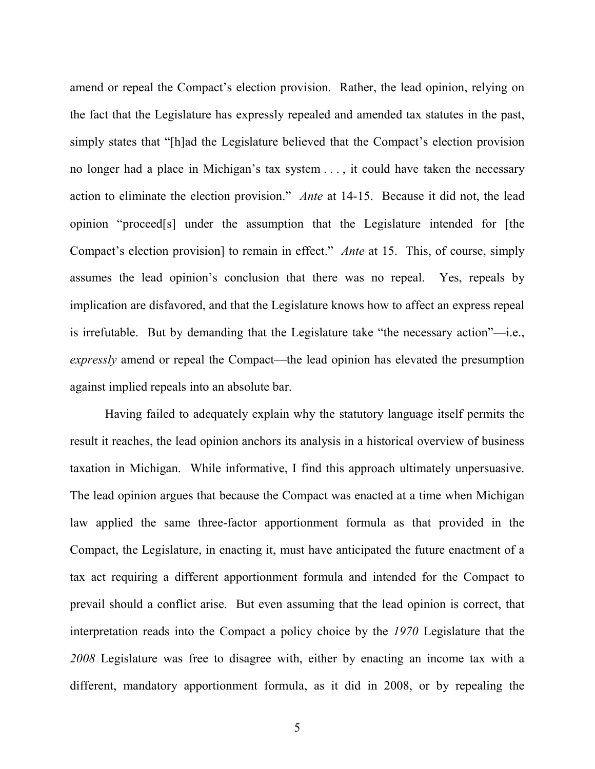amend or repeal the Compact's election provision. Rather, the lead opinion, relying on the fact that the Legislature has expressly repealed and amended tax statutes in the past, simply states that "[h]ad the Legislature believed that the Compact's election provision no longer had a place in Michigan's tax system . . . , it could have taken the necessary action to eliminate the election provision." *Ante* at 14-15. Because it did not, the lead opinion "proceed[s] under the assumption that the Legislature intended for [the Compact's election provision] to remain in effect." *Ante* at 15. This, of course, simply assumes the lead opinion's conclusion that there was no repeal. Yes, repeals by implication are disfavored, and that the Legislature knows how to affect an express repeal is irrefutable. But by demanding that the Legislature take "the necessary action"—i.e., *expressly* amend or repeal the Compact—the lead opinion has elevated the presumption against implied repeals into an absolute bar.

Having failed to adequately explain why the statutory language itself permits the result it reaches, the lead opinion anchors its analysis in a historical overview of business taxation in Michigan. While informative, I find this approach ultimately unpersuasive. The lead opinion argues that because the Compact was enacted at a time when Michigan law applied the same three-factor apportionment formula as that provided in the Compact, the Legislature, in enacting it, must have anticipated the future enactment of a tax act requiring a different apportionment formula and intended for the Compact to prevail should a conflict arise. But even assuming that the lead opinion is correct, that interpretation reads into the Compact a policy choice by the *1970* Legislature that the *2008* Legislature was free to disagree with, either by enacting an income tax with a different, mandatory apportionment formula, as it did in 2008, or by repealing the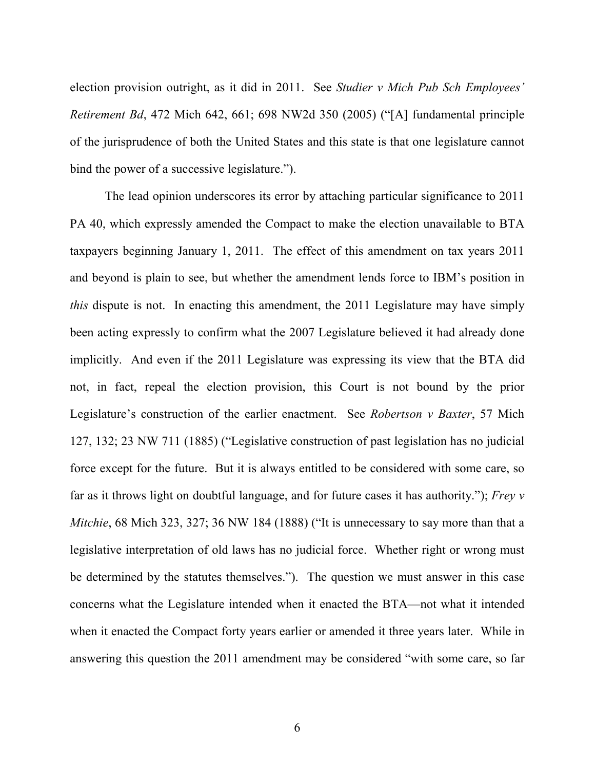election provision outright, as it did in 2011. See *Studier v Mich Pub Sch Employees' Retirement Bd*, 472 Mich 642, 661; 698 NW2d 350 (2005) ("[A] fundamental principle of the jurisprudence of both the United States and this state is that one legislature cannot bind the power of a successive legislature.").

The lead opinion underscores its error by attaching particular significance to 2011 PA 40, which expressly amended the Compact to make the election unavailable to BTA taxpayers beginning January 1, 2011. The effect of this amendment on tax years 2011 and beyond is plain to see, but whether the amendment lends force to IBM's position in *this* dispute is not. In enacting this amendment, the 2011 Legislature may have simply been acting expressly to confirm what the 2007 Legislature believed it had already done implicitly. And even if the 2011 Legislature was expressing its view that the BTA did not, in fact, repeal the election provision, this Court is not bound by the prior Legislature's construction of the earlier enactment. See *Robertson v Baxter*, 57 Mich 127, 132; 23 NW 711 (1885) ("Legislative construction of past legislation has no judicial force except for the future. But it is always entitled to be considered with some care, so far as it throws light on doubtful language, and for future cases it has authority."); *Frey v Mitchie*, 68 Mich 323, 327; 36 NW 184 (1888) ("It is unnecessary to say more than that a legislative interpretation of old laws has no judicial force. Whether right or wrong must be determined by the statutes themselves."). The question we must answer in this case concerns what the Legislature intended when it enacted the BTA—not what it intended when it enacted the Compact forty years earlier or amended it three years later. While in answering this question the 2011 amendment may be considered "with some care, so far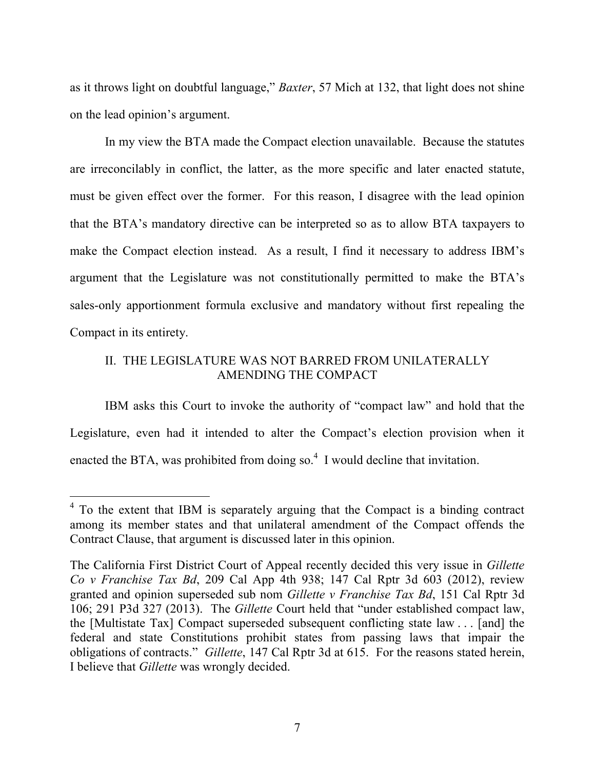as it throws light on doubtful language," *Baxter*, 57 Mich at 132, that light does not shine on the lead opinion's argument.

In my view the BTA made the Compact election unavailable. Because the statutes are irreconcilably in conflict, the latter, as the more specific and later enacted statute, must be given effect over the former. For this reason, I disagree with the lead opinion that the BTA's mandatory directive can be interpreted so as to allow BTA taxpayers to make the Compact election instead. As a result, I find it necessary to address IBM's argument that the Legislature was not constitutionally permitted to make the BTA's sales-only apportionment formula exclusive and mandatory without first repealing the Compact in its entirety.

# II. THE LEGISLATURE WAS NOT BARRED FROM UNILATERALLY AMENDING THE COMPACT

IBM asks this Court to invoke the authority of "compact law" and hold that the Legislature, even had it intended to alter the Compact's election provision when it enacted the BTA, was prohibited from doing so.<sup>4</sup> I would decline that invitation.

<sup>&</sup>lt;sup>4</sup> To the extent that IBM is separately arguing that the Compact is a binding contract among its member states and that unilateral amendment of the Compact offends the Contract Clause, that argument is discussed later in this opinion.

The California First District Court of Appeal recently decided this very issue in *Gillette Co v Franchise Tax Bd*, 209 Cal App 4th 938; 147 Cal Rptr 3d 603 (2012), review granted and opinion superseded sub nom *Gillette v Franchise Tax Bd*, 151 Cal Rptr 3d 106; 291 P3d 327 (2013). The *Gillette* Court held that "under established compact law, the [Multistate Tax] Compact superseded subsequent conflicting state law . . . [and] the federal and state Constitutions prohibit states from passing laws that impair the obligations of contracts." *Gillette*, 147 Cal Rptr 3d at 615. For the reasons stated herein, I believe that *Gillette* was wrongly decided.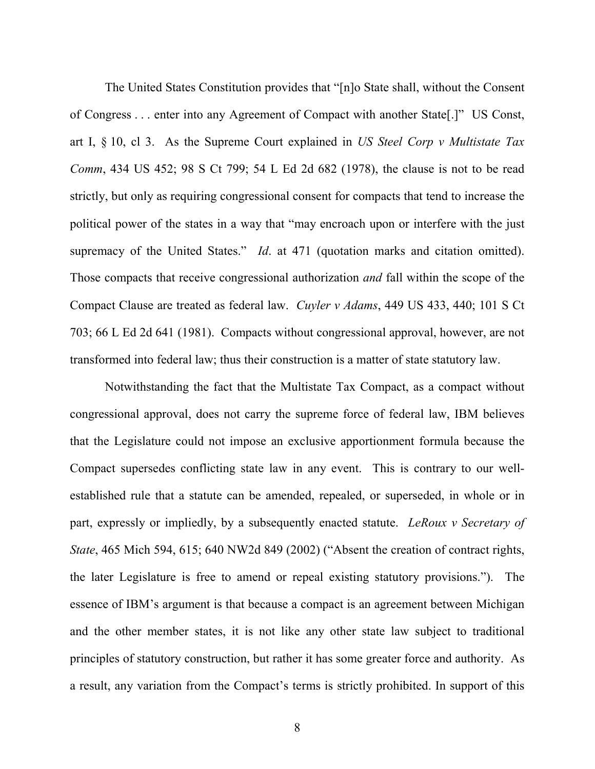The United States Constitution provides that "[n]o State shall, without the Consent of Congress . . . enter into any Agreement of Compact with another State[.]" US Const, art I, § 10, cl 3. As the Supreme Court explained in *US Steel Corp v Multistate Tax Comm*, 434 US 452; 98 S Ct 799; 54 L Ed 2d 682 (1978), the clause is not to be read strictly, but only as requiring congressional consent for compacts that tend to increase the political power of the states in a way that "may encroach upon or interfere with the just supremacy of the United States." *Id.* at 471 (quotation marks and citation omitted). Those compacts that receive congressional authorization *and* fall within the scope of the Compact Clause are treated as federal law. *Cuyler v Adams*, 449 US 433, 440; 101 S Ct 703; 66 L Ed 2d 641 (1981). Compacts without congressional approval, however, are not transformed into federal law; thus their construction is a matter of state statutory law.

Notwithstanding the fact that the Multistate Tax Compact, as a compact without congressional approval, does not carry the supreme force of federal law, IBM believes that the Legislature could not impose an exclusive apportionment formula because the Compact supersedes conflicting state law in any event. This is contrary to our wellestablished rule that a statute can be amended, repealed, or superseded, in whole or in part, expressly or impliedly, by a subsequently enacted statute. *LeRoux v Secretary of State*, 465 Mich 594, 615; 640 NW2d 849 (2002) ("Absent the creation of contract rights, the later Legislature is free to amend or repeal existing statutory provisions."). The essence of IBM's argument is that because a compact is an agreement between Michigan and the other member states, it is not like any other state law subject to traditional principles of statutory construction, but rather it has some greater force and authority. As a result, any variation from the Compact's terms is strictly prohibited. In support of this

8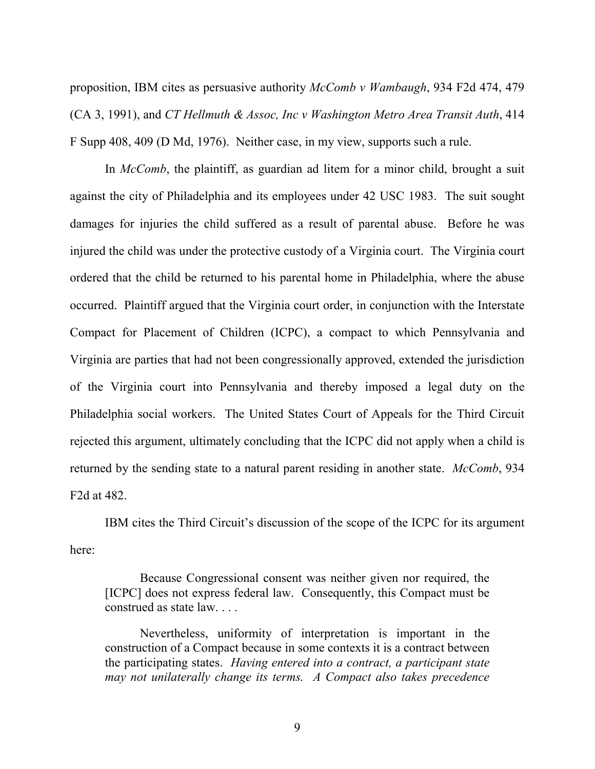proposition, IBM cites as persuasive authority *McComb v Wambaugh*, 934 F2d 474, 479 (CA 3, 1991), and *CT Hellmuth & Assoc, Inc v Washington Metro Area Transit Auth*, 414 F Supp 408, 409 (D Md, 1976). Neither case, in my view, supports such a rule.

In *McComb*, the plaintiff, as guardian ad litem for a minor child, brought a suit against the city of Philadelphia and its employees under 42 USC 1983. The suit sought damages for injuries the child suffered as a result of parental abuse. Before he was injured the child was under the protective custody of a Virginia court. The Virginia court ordered that the child be returned to his parental home in Philadelphia, where the abuse occurred. Plaintiff argued that the Virginia court order, in conjunction with the Interstate Compact for Placement of Children (ICPC), a compact to which Pennsylvania and Virginia are parties that had not been congressionally approved, extended the jurisdiction of the Virginia court into Pennsylvania and thereby imposed a legal duty on the Philadelphia social workers. The United States Court of Appeals for the Third Circuit rejected this argument, ultimately concluding that the ICPC did not apply when a child is returned by the sending state to a natural parent residing in another state. *McComb*, 934 F2d at 482.

IBM cites the Third Circuit's discussion of the scope of the ICPC for its argument here:

Because Congressional consent was neither given nor required, the [ICPC] does not express federal law. Consequently, this Compact must be construed as state law. . . .

Nevertheless, uniformity of interpretation is important in the construction of a Compact because in some contexts it is a contract between the participating states. *Having entered into a contract, a participant state may not unilaterally change its terms. A Compact also takes precedence*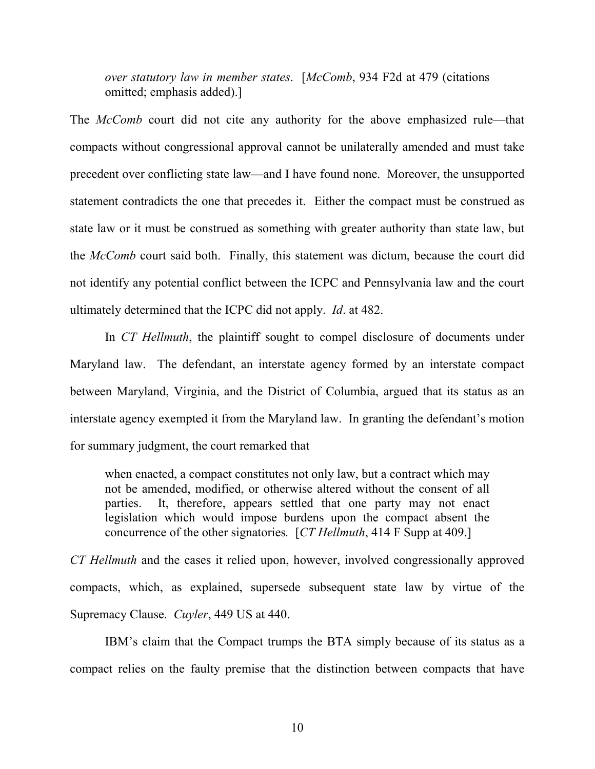*over statutory law in member states*. [*McComb*, 934 F2d at 479 (citations omitted; emphasis added).]

The *McComb* court did not cite any authority for the above emphasized rule—that compacts without congressional approval cannot be unilaterally amended and must take precedent over conflicting state law—and I have found none. Moreover, the unsupported statement contradicts the one that precedes it. Either the compact must be construed as state law or it must be construed as something with greater authority than state law, but the *McComb* court said both. Finally, this statement was dictum, because the court did not identify any potential conflict between the ICPC and Pennsylvania law and the court ultimately determined that the ICPC did not apply. *Id*. at 482.

In *CT Hellmuth*, the plaintiff sought to compel disclosure of documents under Maryland law. The defendant, an interstate agency formed by an interstate compact between Maryland, Virginia, and the District of Columbia, argued that its status as an interstate agency exempted it from the Maryland law. In granting the defendant's motion for summary judgment, the court remarked that

when enacted, a compact constitutes not only law, but a contract which may not be amended, modified, or otherwise altered without the consent of all parties. It, therefore, appears settled that one party may not enact legislation which would impose burdens upon the compact absent the concurrence of the other signatories*.* [*CT Hellmuth*, 414 F Supp at 409.]

*CT Hellmuth* and the cases it relied upon, however, involved congressionally approved compacts, which, as explained, supersede subsequent state law by virtue of the Supremacy Clause. *Cuyler*, 449 US at 440.

IBM's claim that the Compact trumps the BTA simply because of its status as a compact relies on the faulty premise that the distinction between compacts that have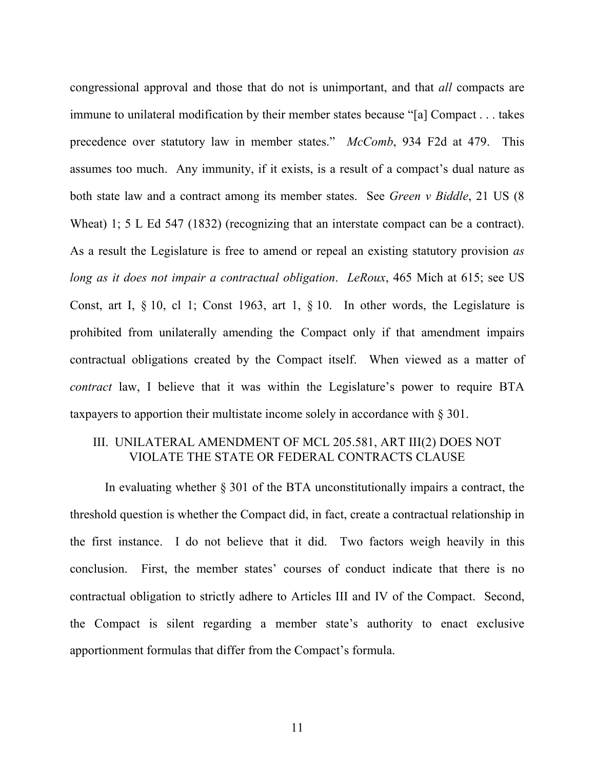congressional approval and those that do not is unimportant, and that *all* compacts are immune to unilateral modification by their member states because "[a] Compact . . . takes precedence over statutory law in member states." *McComb*, 934 F2d at 479. This assumes too much. Any immunity, if it exists, is a result of a compact's dual nature as both state law and a contract among its member states. See *Green v Biddle*, 21 US (8 Wheat) 1; 5 L Ed 547 (1832) (recognizing that an interstate compact can be a contract). As a result the Legislature is free to amend or repeal an existing statutory provision *as long as it does not impair a contractual obligation*. *LeRoux*, 465 Mich at 615; see US Const, art I, § 10, cl 1; Const 1963, art 1, § 10. In other words, the Legislature is prohibited from unilaterally amending the Compact only if that amendment impairs contractual obligations created by the Compact itself. When viewed as a matter of *contract* law, I believe that it was within the Legislature's power to require BTA taxpayers to apportion their multistate income solely in accordance with § 301.

# III. UNILATERAL AMENDMENT OF MCL 205.581, ART III(2) DOES NOT VIOLATE THE STATE OR FEDERAL CONTRACTS CLAUSE

In evaluating whether § 301 of the BTA unconstitutionally impairs a contract, the threshold question is whether the Compact did, in fact, create a contractual relationship in the first instance. I do not believe that it did. Two factors weigh heavily in this conclusion. First, the member states' courses of conduct indicate that there is no contractual obligation to strictly adhere to Articles III and IV of the Compact. Second, the Compact is silent regarding a member state's authority to enact exclusive apportionment formulas that differ from the Compact's formula.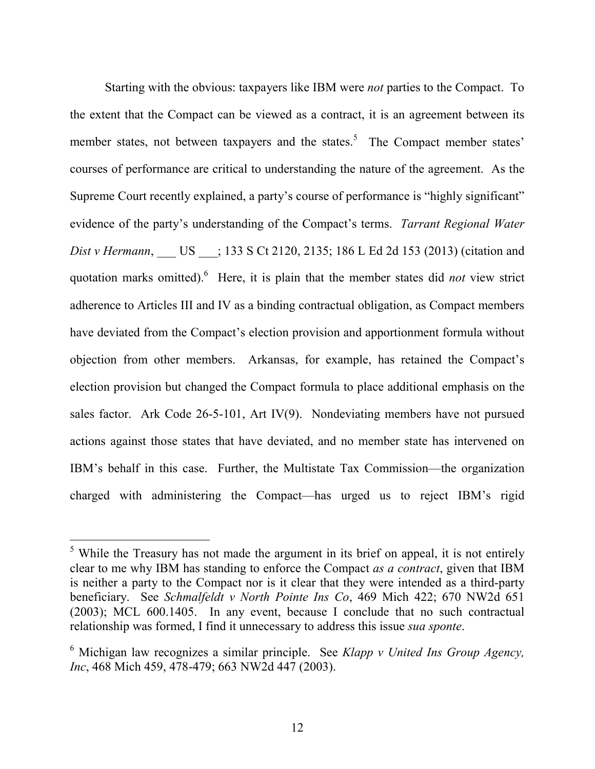Starting with the obvious: taxpayers like IBM were *not* parties to the Compact. To the extent that the Compact can be viewed as a contract, it is an agreement between its member states, not between taxpayers and the states.<sup>5</sup> The Compact member states' courses of performance are critical to understanding the nature of the agreement. As the Supreme Court recently explained, a party's course of performance is "highly significant" evidence of the party's understanding of the Compact's terms. *Tarrant Regional Water Dist v Hermann*, US : 133 S Ct 2120, 2135; 186 L Ed 2d 153 (2013) (citation and quotation marks omitted). <sup>6</sup> Here, it is plain that the member states did *not* view strict adherence to Articles III and IV as a binding contractual obligation, as Compact members have deviated from the Compact's election provision and apportionment formula without objection from other members. Arkansas, for example, has retained the Compact's election provision but changed the Compact formula to place additional emphasis on the sales factor. Ark Code 26-5-101, Art IV(9). Nondeviating members have not pursued actions against those states that have deviated, and no member state has intervened on IBM's behalf in this case. Further, the Multistate Tax Commission—the organization charged with administering the Compact—has urged us to reject IBM's rigid

<sup>&</sup>lt;sup>5</sup> While the Treasury has not made the argument in its brief on appeal, it is not entirely clear to me why IBM has standing to enforce the Compact *as a contract*, given that IBM is neither a party to the Compact nor is it clear that they were intended as a third-party beneficiary. See *Schmalfeldt v North Pointe Ins Co*, 469 Mich 422; 670 NW2d 651 (2003); MCL 600.1405. In any event, because I conclude that no such contractual relationship was formed, I find it unnecessary to address this issue *sua sponte*.

<sup>6</sup> Michigan law recognizes a similar principle. See *Klapp v United Ins Group Agency, Inc*, 468 Mich 459, 478-479; 663 NW2d 447 (2003).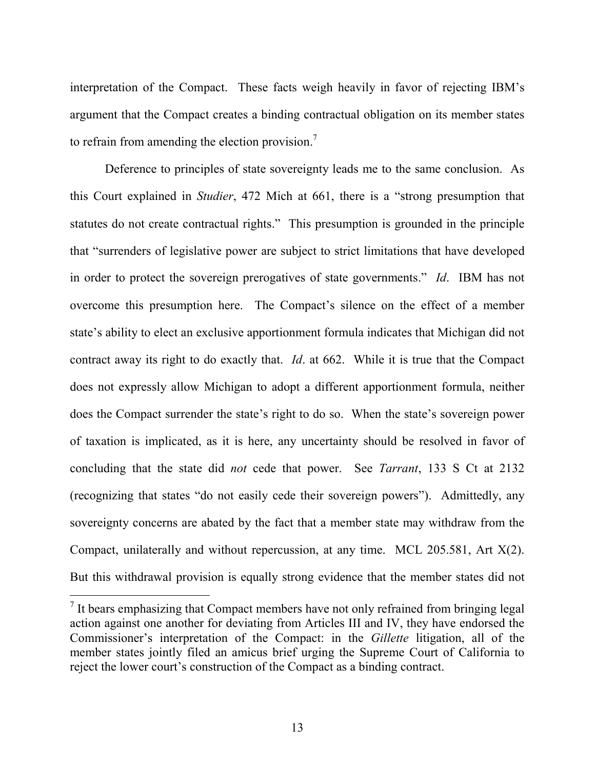interpretation of the Compact. These facts weigh heavily in favor of rejecting IBM's argument that the Compact creates a binding contractual obligation on its member states to refrain from amending the election provision.<sup>7</sup>

Deference to principles of state sovereignty leads me to the same conclusion. As this Court explained in *Studier*, 472 Mich at 661, there is a "strong presumption that statutes do not create contractual rights." This presumption is grounded in the principle that "surrenders of legislative power are subject to strict limitations that have developed in order to protect the sovereign prerogatives of state governments." *Id*.IBM has not overcome this presumption here. The Compact's silence on the effect of a member state's ability to elect an exclusive apportionment formula indicates that Michigan did not contract away its right to do exactly that. *Id*. at 662. While it is true that the Compact does not expressly allow Michigan to adopt a different apportionment formula, neither does the Compact surrender the state's right to do so. When the state's sovereign power of taxation is implicated, as it is here, any uncertainty should be resolved in favor of concluding that the state did *not* cede that power. See *Tarrant*, 133 S Ct at 2132 (recognizing that states "do not easily cede their sovereign powers"). Admittedly, any sovereignty concerns are abated by the fact that a member state may withdraw from the Compact, unilaterally and without repercussion, at any time. MCL 205.581, Art X(2). But this withdrawal provision is equally strong evidence that the member states did not

 $<sup>7</sup>$  It bears emphasizing that Compact members have not only refrained from bringing legal</sup> action against one another for deviating from Articles III and IV, they have endorsed the Commissioner's interpretation of the Compact: in the *Gillette* litigation, all of the member states jointly filed an amicus brief urging the Supreme Court of California to reject the lower court's construction of the Compact as a binding contract.